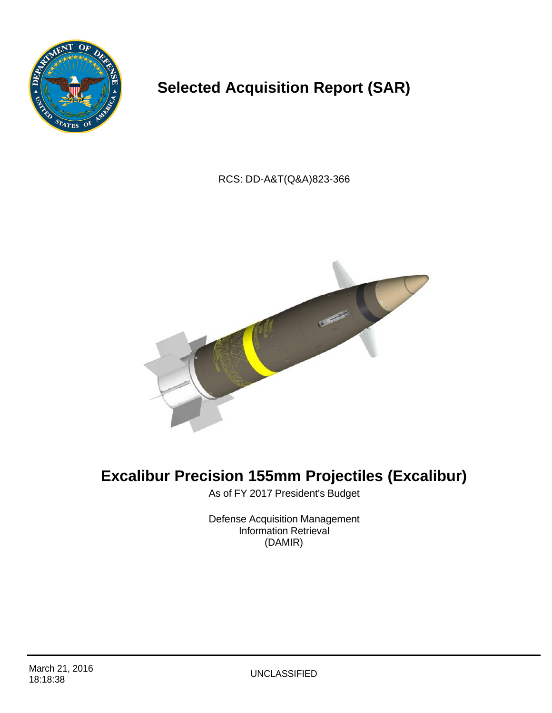

# **Selected Acquisition Report (SAR)**

RCS: DD-A&T(Q&A)823-366



# **Excalibur Precision 155mm Projectiles (Excalibur)**

As of FY 2017 President's Budget

Defense Acquisition Management Information Retrieval (DAMIR)

**UNCLASSIFIED**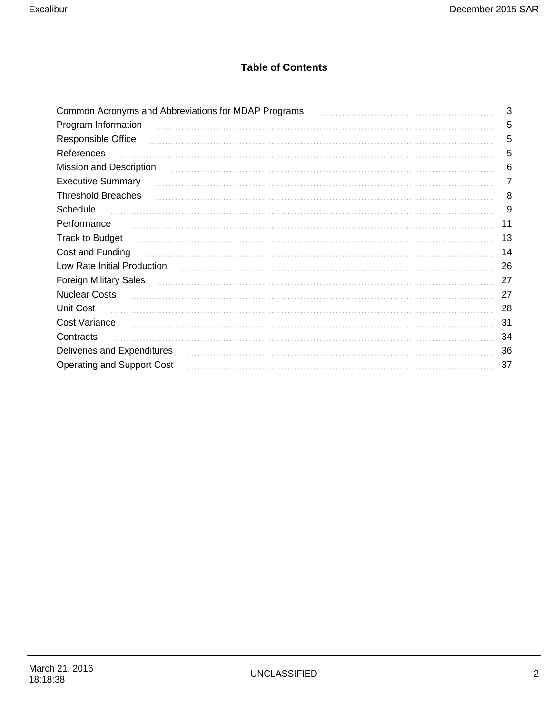### **Table of Contents**

| Common Acronyms and Abbreviations for MDAP Programs | 3  |
|-----------------------------------------------------|----|
| Program Information                                 | 5  |
| Responsible Office                                  | 5  |
| References                                          | 5  |
| Mission and Description                             | 6  |
| <b>Executive Summary</b>                            | 7  |
| <b>Threshold Breaches</b>                           | 8  |
| Schedule                                            | 9  |
| Performance                                         | 11 |
| <b>Track to Budget</b>                              | 13 |
| Cost and Funding                                    | 14 |
| Low Rate Initial Production                         | 26 |
| <b>Foreign Military Sales</b>                       | 27 |
| <b>Nuclear Costs</b>                                | 27 |
| Unit Cost                                           | 28 |
| Cost Variance                                       | 31 |
| Contracts                                           | 34 |
| Deliveries and Expenditures                         | 36 |
| <b>Operating and Support Cost</b>                   | 37 |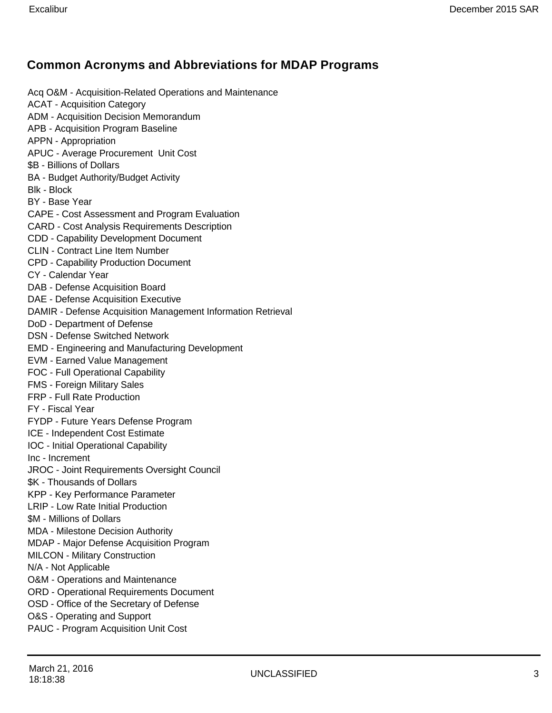### **Common Acronyms and Abbreviations for MDAP Programs**

Acq O&M - Acquisition-Related Operations and Maintenance ACAT - Acquisition Category ADM - Acquisition Decision Memorandum APB - Acquisition Program Baseline APPN - Appropriation APUC - Average Procurement Unit Cost \$B - Billions of Dollars BA - Budget Authority/Budget Activity Blk - Block BY - Base Year CAPE - Cost Assessment and Program Evaluation CARD - Cost Analysis Requirements Description CDD - Capability Development Document CLIN - Contract Line Item Number CPD - Capability Production Document CY - Calendar Year DAB - Defense Acquisition Board DAE - Defense Acquisition Executive DAMIR - Defense Acquisition Management Information Retrieval DoD - Department of Defense DSN - Defense Switched Network EMD - Engineering and Manufacturing Development EVM - Earned Value Management FOC - Full Operational Capability FMS - Foreign Military Sales FRP - Full Rate Production FY - Fiscal Year FYDP - Future Years Defense Program ICE - Independent Cost Estimate IOC - Initial Operational Capability Inc - Increment JROC - Joint Requirements Oversight Council \$K - Thousands of Dollars KPP - Key Performance Parameter LRIP - Low Rate Initial Production \$M - Millions of Dollars MDA - Milestone Decision Authority MDAP - Major Defense Acquisition Program MILCON - Military Construction N/A - Not Applicable O&M - Operations and Maintenance ORD - Operational Requirements Document OSD - Office of the Secretary of Defense O&S - Operating and Support PAUC - Program Acquisition Unit Cost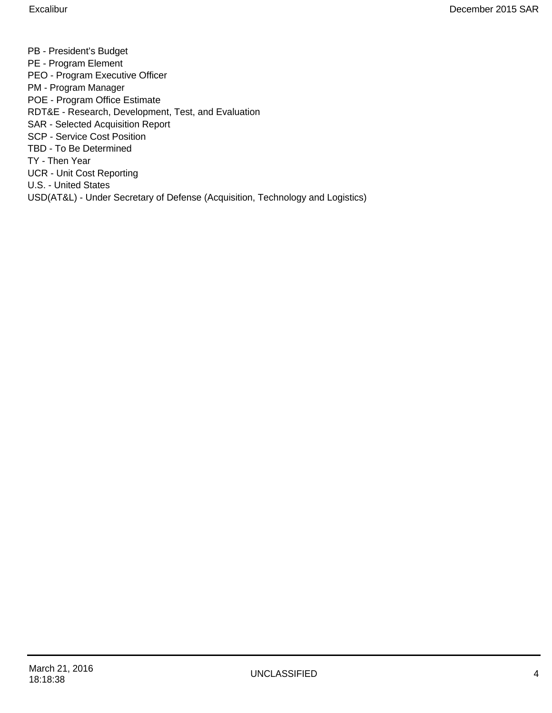PB - President's Budget PE - Program Element PEO - Program Executive Officer PM - Program Manager POE - Program Office Estimate RDT&E - Research, Development, Test, and Evaluation SAR - Selected Acquisition Report SCP - Service Cost Position TBD - To Be Determined TY - Then Year UCR - Unit Cost Reporting U.S. - United States USD(AT&L) - Under Secretary of Defense (Acquisition, Technology and Logistics)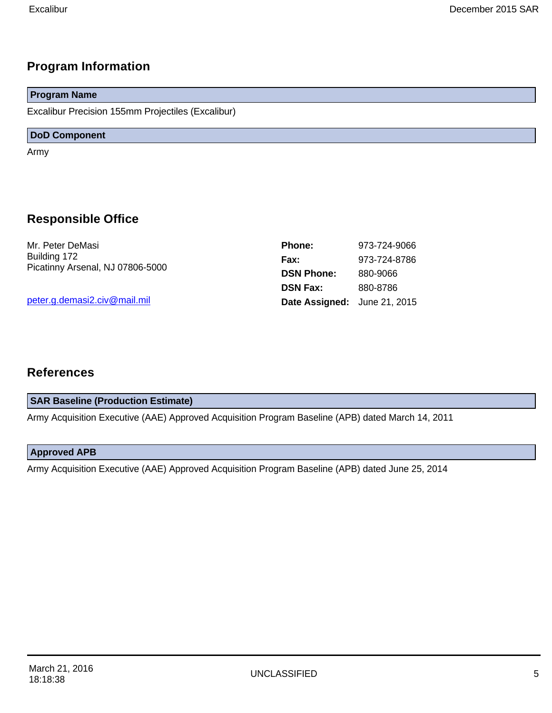### **Program Information**

# **Program Name**

Excalibur Precision 155mm Projectiles (Excalibur)

#### **DoD Component**

Army

### **Responsible Office**

Mr. Peter DeMasi Building 172 Picatinny Arsenal, NJ 07806-5000

peter.g.demasi2.civ@mail.mil

| <b>Phone:</b>                | 973-724-9066 |
|------------------------------|--------------|
| Fax:                         | 973-724-8786 |
| <b>DSN Phone:</b>            | 880-9066     |
| <b>DSN Fax:</b>              | 880-8786     |
| Date Assigned: June 21, 2015 |              |

### **References**

#### **SAR Baseline (Production Estimate)**

Army Acquisition Executive (AAE) Approved Acquisition Program Baseline (APB) dated March 14, 2011

#### **Approved APB**

Army Acquisition Executive (AAE) Approved Acquisition Program Baseline (APB) dated June 25, 2014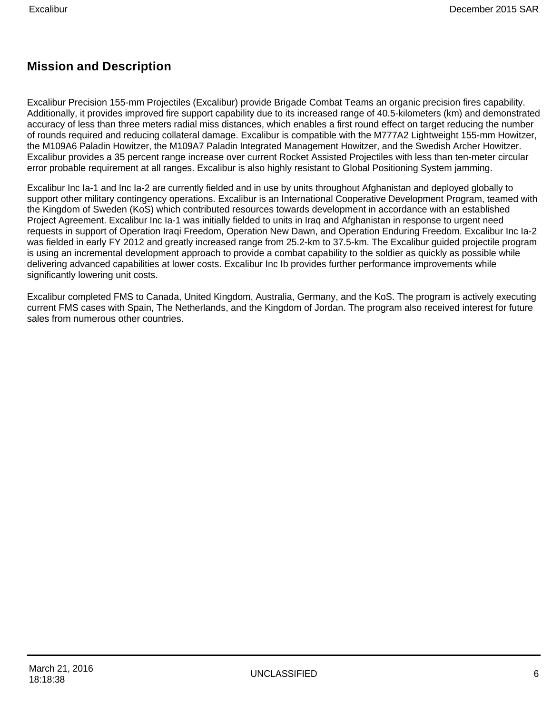### **Mission and Description**

Excalibur Precision 155-mm Projectiles (Excalibur) provide Brigade Combat Teams an organic precision fires capability. Additionally, it provides improved fire support capability due to its increased range of 40.5-kilometers (km) and demonstrated accuracy of less than three meters radial miss distances, which enables a first round effect on target reducing the number of rounds required and reducing collateral damage. Excalibur is compatible with the M777A2 Lightweight 155-mm Howitzer, the M109A6 Paladin Howitzer, the M109A7 Paladin Integrated Management Howitzer, and the Swedish Archer Howitzer. Excalibur provides a 35 percent range increase over current Rocket Assisted Projectiles with less than ten-meter circular error probable requirement at all ranges. Excalibur is also highly resistant to Global Positioning System jamming.

Excalibur Inc Ia-1 and Inc Ia-2 are currently fielded and in use by units throughout Afghanistan and deployed globally to support other military contingency operations. Excalibur is an International Cooperative Development Program, teamed with the Kingdom of Sweden (KoS) which contributed resources towards development in accordance with an established Project Agreement. Excalibur Inc Ia-1 was initially fielded to units in Iraq and Afghanistan in response to urgent need requests in support of Operation Iraqi Freedom, Operation New Dawn, and Operation Enduring Freedom. Excalibur Inc Ia-2 was fielded in early FY 2012 and greatly increased range from 25.2-km to 37.5-km. The Excalibur guided projectile program is using an incremental development approach to provide a combat capability to the soldier as quickly as possible while delivering advanced capabilities at lower costs. Excalibur Inc Ib provides further performance improvements while significantly lowering unit costs.

Excalibur completed FMS to Canada, United Kingdom, Australia, Germany, and the KoS. The program is actively executing current FMS cases with Spain, The Netherlands, and the Kingdom of Jordan. The program also received interest for future sales from numerous other countries.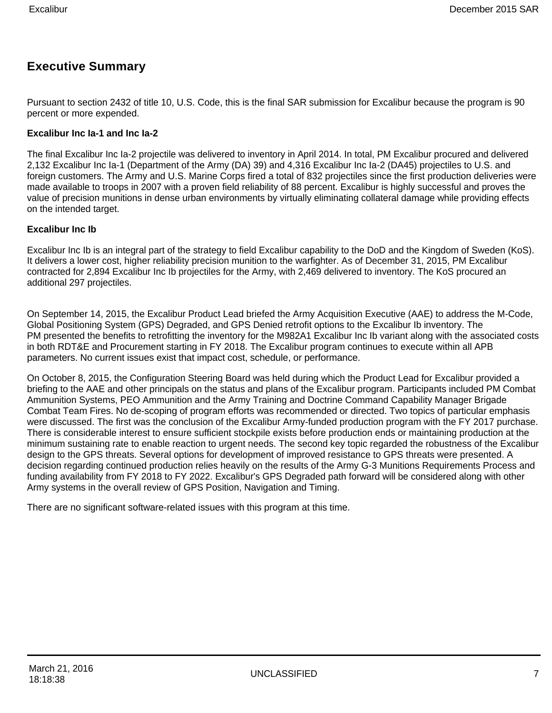### **Executive Summary**

Pursuant to section 2432 of title 10, U.S. Code, this is the final SAR submission for Excalibur because the program is 90 percent or more expended.

#### **Excalibur Inc Ia-1 and Inc Ia-2**

The final Excalibur Inc Ia-2 projectile was delivered to inventory in April 2014. In total, PM Excalibur procured and delivered 2,132 Excalibur Inc Ia-1 (Department of the Army (DA) 39) and 4,316 Excalibur Inc Ia-2 (DA45) projectiles to U.S. and foreign customers. The Army and U.S. Marine Corps fired a total of 832 projectiles since the first production deliveries were made available to troops in 2007 with a proven field reliability of 88 percent. Excalibur is highly successful and proves the value of precision munitions in dense urban environments by virtually eliminating collateral damage while providing effects on the intended target.

#### **Excalibur Inc Ib**

Excalibur Inc Ib is an integral part of the strategy to field Excalibur capability to the DoD and the Kingdom of Sweden (KoS). It delivers a lower cost, higher reliability precision munition to the warfighter. As of December 31, 2015, PM Excalibur contracted for 2,894 Excalibur Inc Ib projectiles for the Army, with 2,469 delivered to inventory. The KoS procured an additional 297 projectiles.

On September 14, 2015, the Excalibur Product Lead briefed the Army Acquisition Executive (AAE) to address the M-Code, Global Positioning System (GPS) Degraded, and GPS Denied retrofit options to the Excalibur Ib inventory. The PM presented the benefits to retrofitting the inventory for the M982A1 Excalibur Inc Ib variant along with the associated costs in both RDT&E and Procurement starting in FY 2018. The Excalibur program continues to execute within all APB parameters. No current issues exist that impact cost, schedule, or performance.

On October 8, 2015, the Configuration Steering Board was held during which the Product Lead for Excalibur provided a briefing to the AAE and other principals on the status and plans of the Excalibur program. Participants included PM Combat Ammunition Systems, PEO Ammunition and the Army Training and Doctrine Command Capability Manager Brigade Combat Team Fires. No de-scoping of program efforts was recommended or directed. Two topics of particular emphasis were discussed. The first was the conclusion of the Excalibur Army-funded production program with the FY 2017 purchase. There is considerable interest to ensure sufficient stockpile exists before production ends or maintaining production at the minimum sustaining rate to enable reaction to urgent needs. The second key topic regarded the robustness of the Excalibur design to the GPS threats. Several options for development of improved resistance to GPS threats were presented. A decision regarding continued production relies heavily on the results of the Army G-3 Munitions Requirements Process and funding availability from FY 2018 to FY 2022. Excalibur's GPS Degraded path forward will be considered along with other Army systems in the overall review of GPS Position, Navigation and Timing.

There are no significant software-related issues with this program at this time.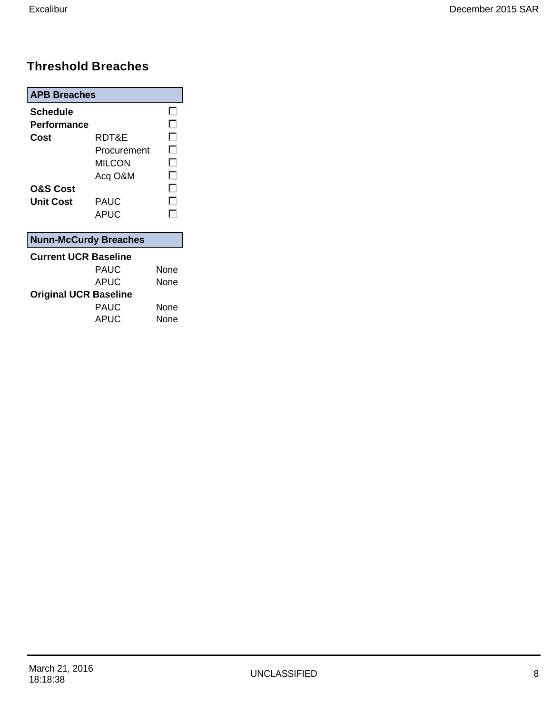# **Threshold Breaches**

| <b>APB Breaches</b>          |             |      |
|------------------------------|-------------|------|
| Schedule                     |             | . .  |
| <b>Performance</b>           |             | г.   |
| Cost                         | RDT&E       | ш    |
|                              | Procurement | ٠    |
|                              | MILCON      | - 1  |
|                              | Acq O&M     | ш    |
| <b>O&amp;S Cost</b>          |             | П    |
| Unit Cost                    | PAUC        | п    |
|                              | APUC        | П    |
| <b>Nunn-McCurdy Breaches</b> |             |      |
| <b>Current UCR Baseline</b>  |             |      |
|                              | PAUC        | None |
|                              | APUC        | None |
| <b>Original UCR Baseline</b> |             |      |
|                              | PAUC        | None |

APUC None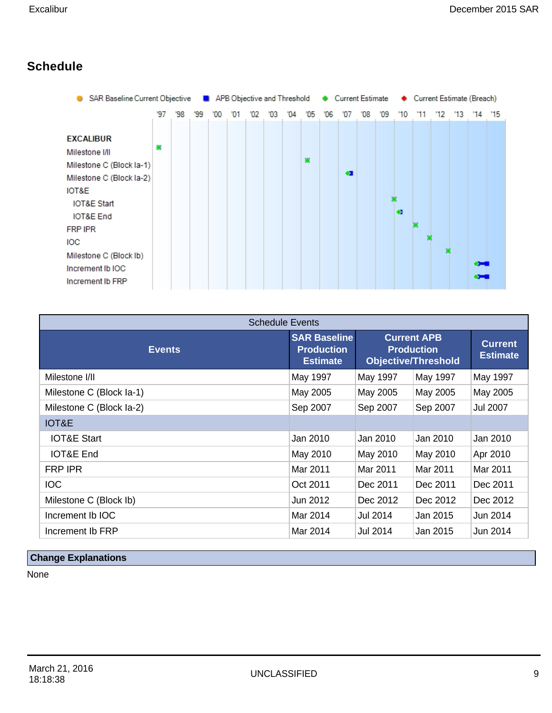# **Schedule**

|                                                                                                                                                                                                                                                         | SAR Baseline Current Objective ■ APB Objective and Threshold ● Current Estimate |     |     |     |    |     | Current Estimate (Breach) |    |    |    |           |     |     |           |     |              |     |                        |    |
|---------------------------------------------------------------------------------------------------------------------------------------------------------------------------------------------------------------------------------------------------------|---------------------------------------------------------------------------------|-----|-----|-----|----|-----|---------------------------|----|----|----|-----------|-----|-----|-----------|-----|--------------|-----|------------------------|----|
|                                                                                                                                                                                                                                                         | '97                                                                             | '98 | '99 | '00 | 01 | '02 | 03                        | 04 | 05 | 06 | '07       | '08 | '09 | $10^{-1}$ | '11 | $12^{\circ}$ | '13 | 14                     | 15 |
| <b>EXCALIBUR</b><br>Milestone I/II<br>Milestone C (Block la-1)<br>Milestone C (Block la-2)<br>IOT&E<br><b>IOT&amp;E Start</b><br><b>IOT&amp;E</b> End<br><b>FRP IPR</b><br><b>IOC</b><br>Milestone C (Block Ib)<br>Increment Ib IOC<br>Increment Ib FRP | ۰                                                                               |     |     |     |    |     |                           |    | 叢  |    | $\bullet$ |     |     | $\bullet$ | 殲   | 撇            |     | $\bullet$<br>$\bullet$ |    |

| <b>Schedule Events</b>   |                                                             |                                                                       |                                   |                 |  |  |  |  |  |  |  |
|--------------------------|-------------------------------------------------------------|-----------------------------------------------------------------------|-----------------------------------|-----------------|--|--|--|--|--|--|--|
| <b>Events</b>            | <b>SAR Baseline</b><br><b>Production</b><br><b>Estimate</b> | <b>Current APB</b><br><b>Production</b><br><b>Objective/Threshold</b> | <b>Current</b><br><b>Estimate</b> |                 |  |  |  |  |  |  |  |
| Milestone I/II           | May 1997                                                    | May 1997                                                              | May 1997                          | May 1997        |  |  |  |  |  |  |  |
| Milestone C (Block la-1) | May 2005                                                    | May 2005                                                              | May 2005                          | May 2005        |  |  |  |  |  |  |  |
| Milestone C (Block la-2) | Sep 2007                                                    | Sep 2007                                                              | Sep 2007                          | <b>Jul 2007</b> |  |  |  |  |  |  |  |
| IOT&E                    |                                                             |                                                                       |                                   |                 |  |  |  |  |  |  |  |
| <b>IOT&amp;E Start</b>   | Jan 2010                                                    | Jan 2010                                                              | Jan 2010                          | Jan 2010        |  |  |  |  |  |  |  |
| <b>IOT&amp;E End</b>     | May 2010                                                    | May 2010                                                              | May 2010                          | Apr 2010        |  |  |  |  |  |  |  |
| FRP IPR                  | Mar 2011                                                    | Mar 2011                                                              | Mar 2011                          | Mar 2011        |  |  |  |  |  |  |  |
| <b>IOC</b>               | Oct 2011                                                    | Dec 2011                                                              | Dec 2011                          | Dec 2011        |  |  |  |  |  |  |  |
| Milestone C (Block Ib)   | Jun 2012                                                    | Dec 2012                                                              | Dec 2012                          | Dec 2012        |  |  |  |  |  |  |  |
| Increment Ib IOC         | Mar 2014                                                    | Jul 2014                                                              | Jan 2015                          | Jun 2014        |  |  |  |  |  |  |  |
| Increment Ib FRP         | Mar 2014                                                    | Jul 2014                                                              | Jan 2015                          | Jun 2014        |  |  |  |  |  |  |  |

# **Change Explanations**

None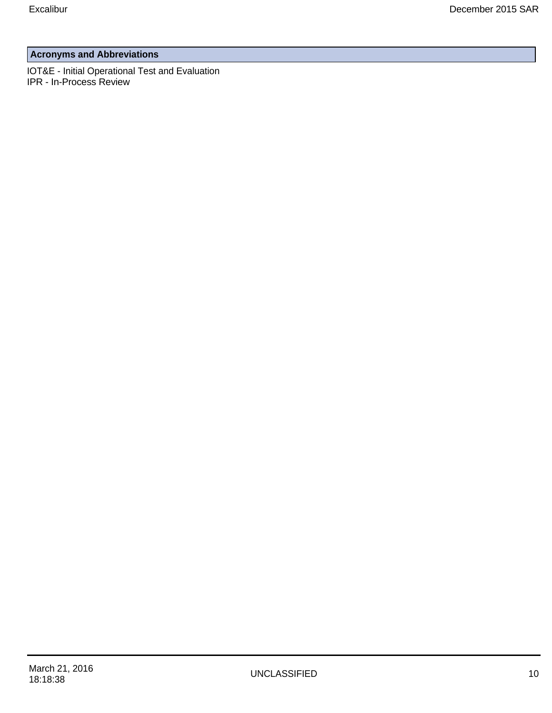### **Acronyms and Abbreviations**

IOT&E - Initial Operational Test and Evaluation IPR - In-Process Review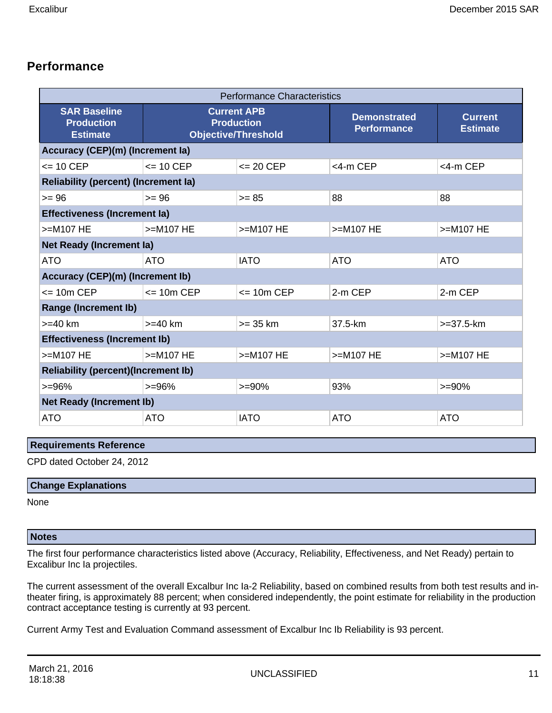### **Performance**

|                                                             | <b>Performance Characteristics</b> |                                                                       |                                           |                                   |  |  |  |  |  |  |  |  |
|-------------------------------------------------------------|------------------------------------|-----------------------------------------------------------------------|-------------------------------------------|-----------------------------------|--|--|--|--|--|--|--|--|
| <b>SAR Baseline</b><br><b>Production</b><br><b>Estimate</b> |                                    | <b>Current APB</b><br><b>Production</b><br><b>Objective/Threshold</b> | <b>Demonstrated</b><br><b>Performance</b> | <b>Current</b><br><b>Estimate</b> |  |  |  |  |  |  |  |  |
| <b>Accuracy (CEP)(m) (Increment la)</b>                     |                                    |                                                                       |                                           |                                   |  |  |  |  |  |  |  |  |
| $\leq$ 10 CEP                                               | $\leq$ 10 CEP                      | $\leq$ 20 CEP                                                         | $<$ 4-m CEP                               | <4-m CEP                          |  |  |  |  |  |  |  |  |
| <b>Reliability (percent) (Increment la)</b>                 |                                    |                                                                       |                                           |                                   |  |  |  |  |  |  |  |  |
| $>= 96$                                                     | $>= 96$                            | $>= 85$                                                               | 88                                        | 88                                |  |  |  |  |  |  |  |  |
| <b>Effectiveness (Increment la)</b>                         |                                    |                                                                       |                                           |                                   |  |  |  |  |  |  |  |  |
| $>=$ M107 HE                                                | $>=$ M107 HE                       | >=M107 HE                                                             | >=M107 HE                                 | $>=M107 HE$                       |  |  |  |  |  |  |  |  |
| <b>Net Ready (Increment la)</b>                             |                                    |                                                                       |                                           |                                   |  |  |  |  |  |  |  |  |
| <b>ATO</b>                                                  | <b>ATO</b>                         | <b>IATO</b>                                                           | <b>ATO</b>                                | <b>ATO</b>                        |  |  |  |  |  |  |  |  |
| Accuracy (CEP)(m) (Increment Ib)                            |                                    |                                                                       |                                           |                                   |  |  |  |  |  |  |  |  |
| $= 10m$ CEP                                                 | $= 10m$ CEP                        | $= 10m$ CEP                                                           | 2-m CEP                                   | 2-m CEP                           |  |  |  |  |  |  |  |  |
| <b>Range (Increment Ib)</b>                                 |                                    |                                                                       |                                           |                                   |  |  |  |  |  |  |  |  |
| $>= 40 km$                                                  | $>=$ 40 km                         | $>=$ 35 km                                                            | 37.5-km                                   | $>=37.5$ -km                      |  |  |  |  |  |  |  |  |
| <b>Effectiveness (Increment Ib)</b>                         |                                    |                                                                       |                                           |                                   |  |  |  |  |  |  |  |  |
| $>=$ M107 HE                                                | $>=M107 HE$                        | >=M107 HE                                                             | >=M107 HE                                 | $>=M107 HE$                       |  |  |  |  |  |  |  |  |
| <b>Reliability (percent)(Increment Ib)</b>                  |                                    |                                                                       |                                           |                                   |  |  |  |  |  |  |  |  |
| $>= 96%$                                                    | $>=96%$                            | $>= 90%$                                                              | 93%                                       | $>= 90%$                          |  |  |  |  |  |  |  |  |
| <b>Net Ready (Increment lb)</b>                             |                                    |                                                                       |                                           |                                   |  |  |  |  |  |  |  |  |
| <b>ATO</b>                                                  | <b>ATO</b>                         | <b>IATO</b>                                                           | <b>ATO</b>                                | <b>ATO</b>                        |  |  |  |  |  |  |  |  |

#### **Requirements Reference**

CPD dated October 24, 2012

#### **Change Explanations**

None

### **Notes**

The first four performance characteristics listed above (Accuracy, Reliability, Effectiveness, and Net Ready) pertain to Excalibur Inc Ia projectiles.

The current assessment of the overall Excalbur Inc Ia-2 Reliability, based on combined results from both test results and intheater firing, is approximately 88 percent; when considered independently, the point estimate for reliability in the production contract acceptance testing is currently at 93 percent.

Current Army Test and Evaluation Command assessment of Excalbur Inc Ib Reliability is 93 percent.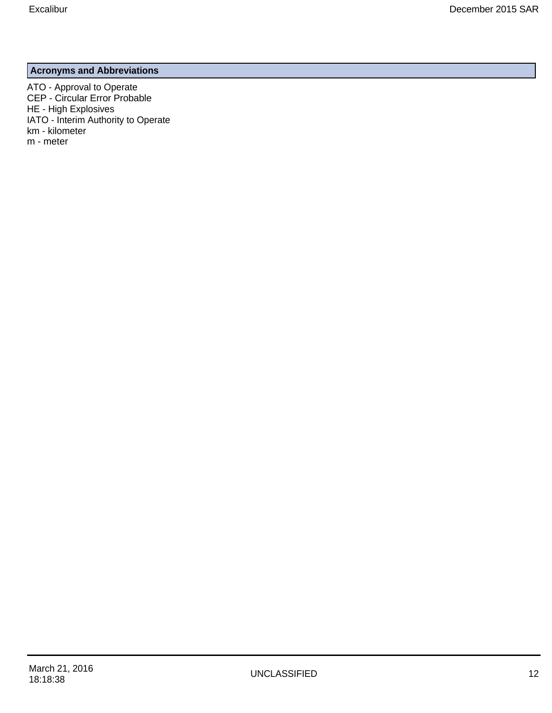### **Acronyms and Abbreviations**

ATO - Approval to Operate CEP - Circular Error Probable HE - High Explosives IATO - Interim Authority to Operate km - kilometer m - meter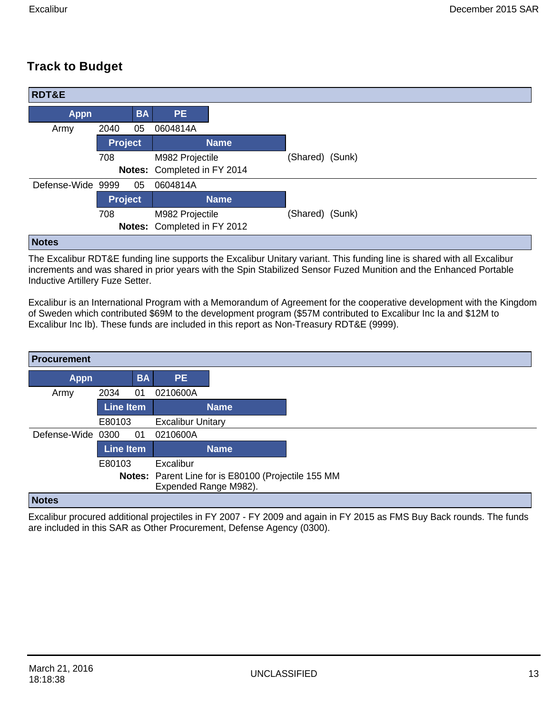# **Track to Budget**

| <b>RDT&amp;E</b>  |                |           |                             |             |                 |  |
|-------------------|----------------|-----------|-----------------------------|-------------|-----------------|--|
| <b>Appn</b>       |                | <b>BA</b> | <b>PE</b>                   |             |                 |  |
| Army              | 2040           | 05        | 0604814A                    |             |                 |  |
|                   | <b>Project</b> |           |                             | <b>Name</b> |                 |  |
|                   | 708            |           | M982 Projectile             |             | (Shared) (Sunk) |  |
|                   |                |           | Notes: Completed in FY 2014 |             |                 |  |
| Defense-Wide 9999 |                | 05        | 0604814A                    |             |                 |  |
|                   | <b>Project</b> |           |                             | <b>Name</b> |                 |  |
|                   | 708            |           | M982 Projectile             |             | (Shared) (Sunk) |  |
|                   |                |           | Notes: Completed in FY 2012 |             |                 |  |
| <b>Notas</b>      |                |           |                             |             |                 |  |

#### **Notes**

The Excalibur RDT&E funding line supports the Excalibur Unitary variant. This funding line is shared with all Excalibur increments and was shared in prior years with the Spin Stabilized Sensor Fuzed Munition and the Enhanced Portable Inductive Artillery Fuze Setter.

Excalibur is an International Program with a Memorandum of Agreement for the cooperative development with the Kingdom of Sweden which contributed \$69M to the development program (\$57M contributed to Excalibur Inc Ia and \$12M to Excalibur Inc Ib). These funds are included in this report as Non-Treasury RDT&E (9999).

|                   | <b>BA</b> | <b>PE</b>                                                |                                                                              |
|-------------------|-----------|----------------------------------------------------------|------------------------------------------------------------------------------|
| 2034              | 01        | 0210600A                                                 |                                                                              |
|                   |           |                                                          | <b>Name</b>                                                                  |
|                   |           | <b>Excalibur Unitary</b>                                 |                                                                              |
| Defense-Wide 0300 | 01        | 0210600A                                                 |                                                                              |
|                   |           |                                                          | <b>Name</b>                                                                  |
|                   |           | Excalibur                                                |                                                                              |
|                   |           |                                                          |                                                                              |
|                   |           |                                                          |                                                                              |
|                   |           | <b>Line Item</b><br>E80103<br><b>Line Item</b><br>E80103 | Notes: Parent Line for is E80100 (Projectile 155 MM<br>Expended Range M982). |

#### **Notes**

Excalibur procured additional projectiles in FY 2007 - FY 2009 and again in FY 2015 as FMS Buy Back rounds. The funds are included in this SAR as Other Procurement, Defense Agency (0300).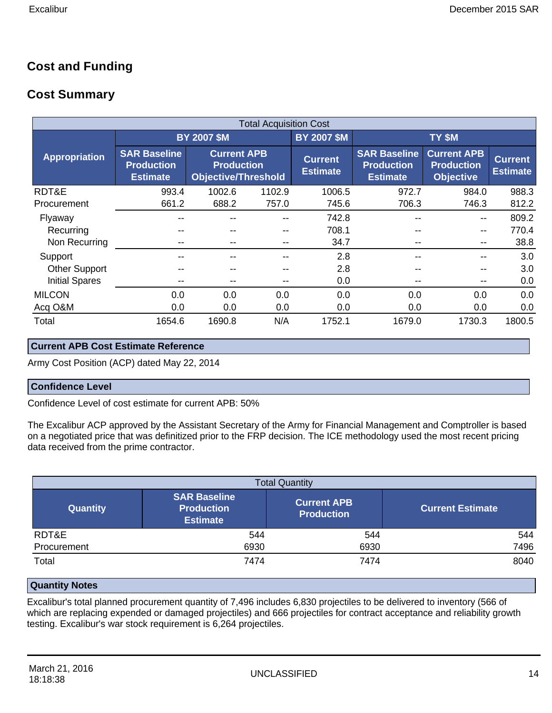### **Cost and Funding**

### **Cost Summary**

|                       | <b>Total Acquisition Cost</b>                               |                                                                       |        |                                   |                                                             |                                   |        |  |  |  |  |  |  |
|-----------------------|-------------------------------------------------------------|-----------------------------------------------------------------------|--------|-----------------------------------|-------------------------------------------------------------|-----------------------------------|--------|--|--|--|--|--|--|
|                       |                                                             | <b>BY 2007 \$M</b>                                                    |        | <b>BY 2007 \$M</b>                | TY \$M                                                      |                                   |        |  |  |  |  |  |  |
| <b>Appropriation</b>  | <b>SAR Baseline</b><br><b>Production</b><br><b>Estimate</b> | <b>Current APB</b><br><b>Production</b><br><b>Objective/Threshold</b> |        | <b>Current</b><br><b>Estimate</b> | <b>SAR Baseline</b><br><b>Production</b><br><b>Estimate</b> | <b>Current</b><br><b>Estimate</b> |        |  |  |  |  |  |  |
| RDT&E                 | 993.4                                                       | 1002.6                                                                | 1102.9 | 1006.5                            | 972.7                                                       | 984.0                             | 988.3  |  |  |  |  |  |  |
| Procurement           | 661.2                                                       | 688.2                                                                 | 757.0  | 745.6                             | 706.3                                                       | 746.3                             | 812.2  |  |  |  |  |  |  |
| Flyaway               | --                                                          |                                                                       |        | 742.8                             | --                                                          | --                                | 809.2  |  |  |  |  |  |  |
| Recurring             | --                                                          |                                                                       | $- -$  | 708.1                             | $- -$                                                       | $\overline{\phantom{m}}$          | 770.4  |  |  |  |  |  |  |
| Non Recurring         | --                                                          |                                                                       | --     | 34.7                              | $- -$                                                       | --                                | 38.8   |  |  |  |  |  |  |
| Support               | --                                                          |                                                                       |        | 2.8                               | $- -$                                                       |                                   | 3.0    |  |  |  |  |  |  |
| <b>Other Support</b>  | --                                                          |                                                                       |        | 2.8                               | $- -$                                                       |                                   | 3.0    |  |  |  |  |  |  |
| <b>Initial Spares</b> | --                                                          |                                                                       | $- -$  | 0.0                               | $- -$                                                       | --                                | 0.0    |  |  |  |  |  |  |
| <b>MILCON</b>         | 0.0                                                         | 0.0                                                                   | 0.0    | 0.0                               | 0.0                                                         | 0.0                               | 0.0    |  |  |  |  |  |  |
| Acq O&M               | 0.0                                                         | 0.0                                                                   | 0.0    | 0.0                               | 0.0                                                         | 0.0                               | 0.0    |  |  |  |  |  |  |
| Total                 | 1654.6                                                      | 1690.8                                                                | N/A    | 1752.1                            | 1679.0                                                      | 1730.3                            | 1800.5 |  |  |  |  |  |  |

#### **Current APB Cost Estimate Reference**

Army Cost Position (ACP) dated May 22, 2014

#### **Confidence Level**

Confidence Level of cost estimate for current APB: 50%

The Excalibur ACP approved by the Assistant Secretary of the Army for Financial Management and Comptroller is based on a negotiated price that was definitized prior to the FRP decision. The ICE methodology used the most recent pricing data received from the prime contractor.

| <b>Total Quantity</b> |                                                             |                                         |                         |  |  |  |  |  |  |  |  |
|-----------------------|-------------------------------------------------------------|-----------------------------------------|-------------------------|--|--|--|--|--|--|--|--|
| <b>Quantity</b>       | <b>SAR Baseline</b><br><b>Production</b><br><b>Estimate</b> | <b>Current APB</b><br><b>Production</b> | <b>Current Estimate</b> |  |  |  |  |  |  |  |  |
| RDT&E                 | 544                                                         | 544                                     | 544                     |  |  |  |  |  |  |  |  |
| Procurement           | 6930                                                        | 6930                                    | 7496                    |  |  |  |  |  |  |  |  |
| Total                 | 7474                                                        | 7474                                    | 8040                    |  |  |  |  |  |  |  |  |

#### **Quantity Notes**

Excalibur's total planned procurement quantity of 7,496 includes 6,830 projectiles to be delivered to inventory (566 of which are replacing expended or damaged projectiles) and 666 projectiles for contract acceptance and reliability growth testing. Excalibur's war stock requirement is 6,264 projectiles.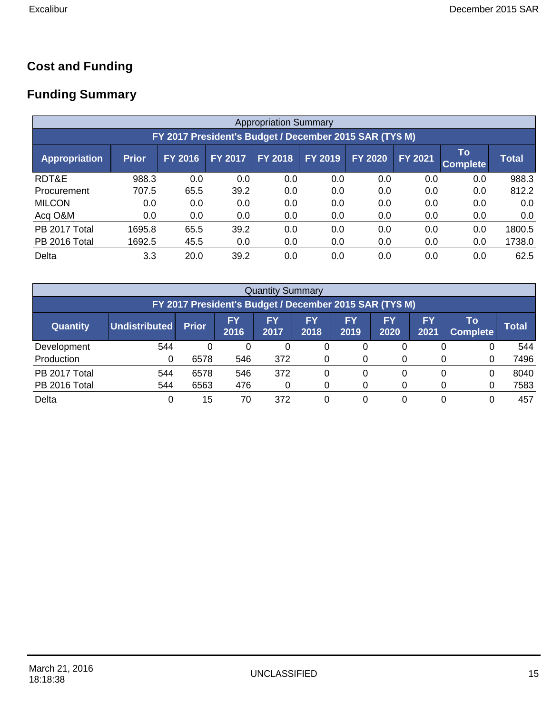### **Cost and Funding**

# **Funding Summary**

|                                                         | <b>Appropriation Summary</b> |                |                |                |                |                |                |                       |              |  |  |  |  |
|---------------------------------------------------------|------------------------------|----------------|----------------|----------------|----------------|----------------|----------------|-----------------------|--------------|--|--|--|--|
| FY 2017 President's Budget / December 2015 SAR (TY\$ M) |                              |                |                |                |                |                |                |                       |              |  |  |  |  |
| <b>Appropriation</b>                                    | <b>Prior</b>                 | <b>FY 2016</b> | <b>FY 2017</b> | <b>FY 2018</b> | <b>FY 2019</b> | <b>FY 2020</b> | <b>FY 2021</b> | To<br><b>Complete</b> | <b>Total</b> |  |  |  |  |
| RDT&E                                                   | 988.3                        | 0.0            | 0.0            | 0.0            | 0.0            | 0.0            | 0.0            | 0.0                   | 988.3        |  |  |  |  |
| Procurement                                             | 707.5                        | 65.5           | 39.2           | 0.0            | 0.0            | 0.0            | 0.0            | 0.0                   | 812.2        |  |  |  |  |
| <b>MILCON</b>                                           | 0.0                          | 0.0            | 0.0            | 0.0            | 0.0            | 0.0            | 0.0            | 0.0                   | 0.0          |  |  |  |  |
| Acq O&M                                                 | 0.0                          | 0.0            | 0.0            | 0.0            | 0.0            | 0.0            | 0.0            | 0.0                   | 0.0          |  |  |  |  |
| PB 2017 Total                                           | 1695.8                       | 65.5           | 39.2           | 0.0            | 0.0            | 0.0            | 0.0            | 0.0                   | 1800.5       |  |  |  |  |
| PB 2016 Total                                           | 1692.5                       | 45.5           | 0.0            | 0.0            | 0.0            | 0.0            | 0.0            | 0.0                   | 1738.0       |  |  |  |  |
| Delta                                                   | 3.3                          | 20.0           | 39.2           | 0.0            | 0.0            | 0.0            | 0.0            | 0.0                   | 62.5         |  |  |  |  |

|                                                         | <b>Quantity Summary</b> |              |                   |            |            |            |                   |            |                       |              |  |  |
|---------------------------------------------------------|-------------------------|--------------|-------------------|------------|------------|------------|-------------------|------------|-----------------------|--------------|--|--|
| FY 2017 President's Budget / December 2015 SAR (TY\$ M) |                         |              |                   |            |            |            |                   |            |                       |              |  |  |
| <b>Quantity</b>                                         | Undistributed           | <b>Prior</b> | <b>FY</b><br>2016 | FY<br>2017 | FΥ<br>2018 | FY<br>2019 | <b>FY</b><br>2020 | FY<br>2021 | Τo<br><b>Complete</b> | <b>Total</b> |  |  |
| Development                                             | 544                     | 0            | 0                 | 0          |            | 0          | 0                 |            | 0                     | 544          |  |  |
| Production                                              | 0                       | 6578         | 546               | 372        |            |            |                   |            | 0                     | 7496         |  |  |
| PB 2017 Total                                           | 544                     | 6578         | 546               | 372        |            | 0          | 0                 |            | 0                     | 8040         |  |  |
| PB 2016 Total                                           | 544                     | 6563         | 476               | 0          |            |            |                   |            | 0                     | 7583         |  |  |
| Delta                                                   | 0                       | 15           | 70                | 372        |            |            | 0                 |            | 0                     | 457          |  |  |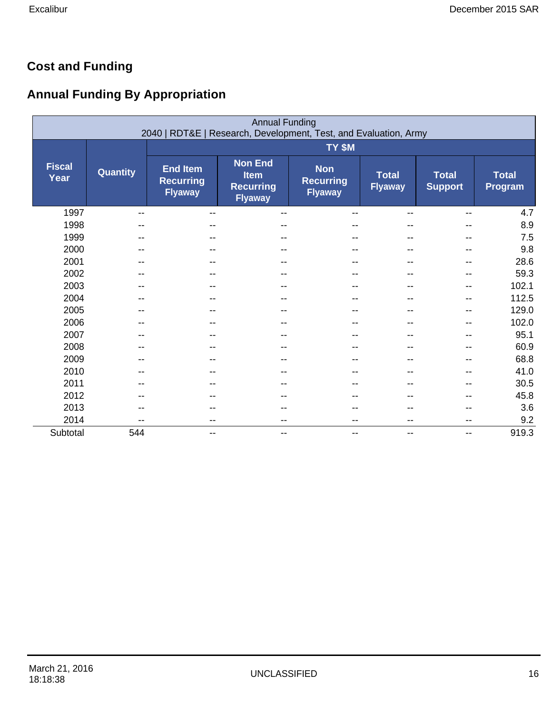# **Cost and Funding**

# **Annual Funding By Appropriation**

|                       | <b>Annual Funding</b><br>2040   RDT&E   Research, Development, Test, and Evaluation, Army |                                                       |                                                                     |                                                  |                                |                                |                         |  |  |  |  |
|-----------------------|-------------------------------------------------------------------------------------------|-------------------------------------------------------|---------------------------------------------------------------------|--------------------------------------------------|--------------------------------|--------------------------------|-------------------------|--|--|--|--|
|                       |                                                                                           |                                                       |                                                                     | TY \$M                                           |                                |                                |                         |  |  |  |  |
| <b>Fiscal</b><br>Year | <b>Quantity</b>                                                                           | <b>End Item</b><br><b>Recurring</b><br><b>Flyaway</b> | <b>Non End</b><br><b>Item</b><br><b>Recurring</b><br><b>Flyaway</b> | <b>Non</b><br><b>Recurring</b><br><b>Flyaway</b> | <b>Total</b><br><b>Flyaway</b> | <b>Total</b><br><b>Support</b> | <b>Total</b><br>Program |  |  |  |  |
| 1997                  | --                                                                                        | --                                                    | $-$                                                                 | --                                               | --                             | --                             | 4.7                     |  |  |  |  |
| 1998                  |                                                                                           |                                                       |                                                                     | --                                               | --                             |                                | 8.9                     |  |  |  |  |
| 1999                  | $- -$                                                                                     | --                                                    | $- -$                                                               | --                                               | $- -$                          | $-$                            | 7.5                     |  |  |  |  |
| 2000                  |                                                                                           |                                                       |                                                                     |                                                  |                                |                                | 9.8                     |  |  |  |  |
| 2001                  |                                                                                           |                                                       |                                                                     |                                                  | --                             |                                | 28.6                    |  |  |  |  |
| 2002                  |                                                                                           |                                                       |                                                                     | --                                               | --                             |                                | 59.3                    |  |  |  |  |
| 2003                  |                                                                                           |                                                       |                                                                     | --                                               | --                             | --                             | 102.1                   |  |  |  |  |
| 2004                  | $-$                                                                                       | --                                                    | $- -$                                                               | --                                               | $- -$                          | $-$                            | 112.5                   |  |  |  |  |
| 2005                  |                                                                                           |                                                       |                                                                     | --                                               |                                | --                             | 129.0                   |  |  |  |  |
| 2006                  |                                                                                           |                                                       |                                                                     |                                                  |                                |                                | 102.0                   |  |  |  |  |
| 2007                  |                                                                                           |                                                       |                                                                     |                                                  |                                |                                | 95.1                    |  |  |  |  |
| 2008                  |                                                                                           |                                                       |                                                                     |                                                  |                                |                                | 60.9                    |  |  |  |  |
| 2009                  |                                                                                           | --                                                    | $-$                                                                 | --                                               | $-$                            | --                             | 68.8                    |  |  |  |  |
| 2010                  |                                                                                           |                                                       |                                                                     | --                                               |                                |                                | 41.0                    |  |  |  |  |
| 2011                  | --                                                                                        | --                                                    |                                                                     | --                                               | --                             |                                | 30.5                    |  |  |  |  |
| 2012                  |                                                                                           |                                                       |                                                                     |                                                  |                                |                                | 45.8                    |  |  |  |  |
| 2013                  |                                                                                           |                                                       |                                                                     |                                                  |                                |                                | 3.6                     |  |  |  |  |
| 2014                  | $-$                                                                                       | $\overline{\phantom{m}}$                              | $-$                                                                 | $\overline{\phantom{a}}$                         | $\overline{\phantom{a}}$       | $-$                            | 9.2                     |  |  |  |  |
| Subtotal              | 544                                                                                       | $\overline{\phantom{a}}$                              | $\qquad \qquad \blacksquare$                                        | $\overline{\phantom{a}}$                         | $- -$                          | $-$                            | 919.3                   |  |  |  |  |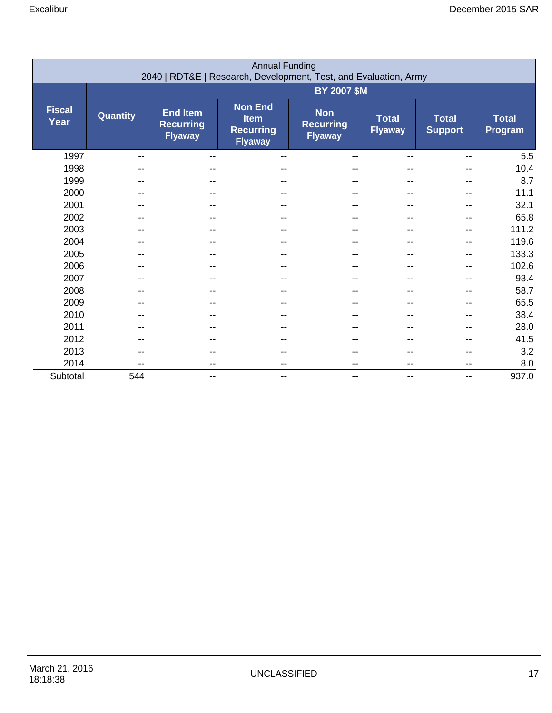|                       | <b>Annual Funding</b><br>2040   RDT&E   Research, Development, Test, and Evaluation, Army |                                                       |                                                                     |                                                  |                                |                                |                         |  |  |  |  |
|-----------------------|-------------------------------------------------------------------------------------------|-------------------------------------------------------|---------------------------------------------------------------------|--------------------------------------------------|--------------------------------|--------------------------------|-------------------------|--|--|--|--|
|                       |                                                                                           | <b>BY 2007 \$M</b>                                    |                                                                     |                                                  |                                |                                |                         |  |  |  |  |
| <b>Fiscal</b><br>Year | Quantity                                                                                  | <b>End Item</b><br><b>Recurring</b><br><b>Flyaway</b> | <b>Non End</b><br><b>Item</b><br><b>Recurring</b><br><b>Flyaway</b> | <b>Non</b><br><b>Recurring</b><br><b>Flyaway</b> | <b>Total</b><br><b>Flyaway</b> | <b>Total</b><br><b>Support</b> | <b>Total</b><br>Program |  |  |  |  |
| 1997                  | $-$                                                                                       | $-$                                                   | $\overline{\phantom{m}}$                                            |                                                  |                                | --                             | 5.5                     |  |  |  |  |
| 1998                  |                                                                                           |                                                       | --                                                                  |                                                  |                                | --                             | 10.4                    |  |  |  |  |
| 1999                  |                                                                                           |                                                       |                                                                     |                                                  |                                |                                | 8.7                     |  |  |  |  |
| 2000                  |                                                                                           |                                                       |                                                                     |                                                  |                                |                                | 11.1                    |  |  |  |  |
| 2001                  | --                                                                                        |                                                       | $- -$                                                               |                                                  |                                | --                             | 32.1                    |  |  |  |  |
| 2002                  | --                                                                                        |                                                       |                                                                     |                                                  | --                             | --                             | 65.8                    |  |  |  |  |
| 2003                  | --                                                                                        |                                                       | $- -$                                                               |                                                  | --                             | $-$                            | 111.2                   |  |  |  |  |
| 2004                  |                                                                                           |                                                       |                                                                     |                                                  |                                |                                | 119.6                   |  |  |  |  |
| 2005                  | --                                                                                        |                                                       |                                                                     |                                                  |                                | --                             | 133.3                   |  |  |  |  |
| 2006                  |                                                                                           |                                                       | $-$                                                                 |                                                  |                                | --                             | 102.6                   |  |  |  |  |
| 2007                  |                                                                                           |                                                       |                                                                     |                                                  |                                |                                | 93.4                    |  |  |  |  |
| 2008                  |                                                                                           |                                                       | --                                                                  |                                                  |                                |                                | 58.7                    |  |  |  |  |
| 2009                  |                                                                                           |                                                       |                                                                     |                                                  |                                |                                | 65.5                    |  |  |  |  |
| 2010                  |                                                                                           |                                                       |                                                                     |                                                  |                                |                                | 38.4                    |  |  |  |  |
| 2011                  | --                                                                                        |                                                       | --                                                                  |                                                  |                                | --                             | 28.0                    |  |  |  |  |
| 2012                  | --                                                                                        |                                                       |                                                                     |                                                  | --                             | --                             | 41.5                    |  |  |  |  |
| 2013                  |                                                                                           |                                                       |                                                                     |                                                  |                                |                                | 3.2                     |  |  |  |  |
| 2014                  | --                                                                                        |                                                       | $-$                                                                 |                                                  | --                             | $-$                            | 8.0                     |  |  |  |  |
| Subtotal              | 544                                                                                       | --                                                    | $\overline{\phantom{m}}$                                            | $\qquad \qquad \qquad -$                         | --                             | $-$                            | 937.0                   |  |  |  |  |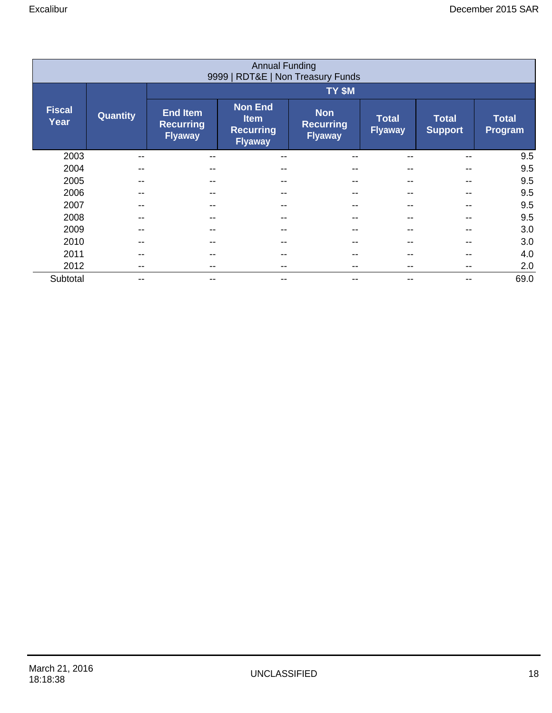|                                   | <b>Annual Funding</b> |                                                       |                                                                     |                                                  |                                |                                |                         |  |  |  |
|-----------------------------------|-----------------------|-------------------------------------------------------|---------------------------------------------------------------------|--------------------------------------------------|--------------------------------|--------------------------------|-------------------------|--|--|--|
| 9999   RDT&E   Non Treasury Funds |                       |                                                       |                                                                     |                                                  |                                |                                |                         |  |  |  |
|                                   |                       |                                                       | TY \$M                                                              |                                                  |                                |                                |                         |  |  |  |
| <b>Fiscal</b><br>Year             | <b>Quantity</b>       | <b>End Item</b><br><b>Recurring</b><br><b>Flyaway</b> | <b>Non End</b><br><b>Item</b><br><b>Recurring</b><br><b>Flyaway</b> | <b>Non</b><br><b>Recurring</b><br><b>Flyaway</b> | <b>Total</b><br><b>Flyaway</b> | <b>Total</b><br><b>Support</b> | <b>Total</b><br>Program |  |  |  |
| 2003                              | --                    |                                                       | --                                                                  |                                                  |                                |                                | 9.5                     |  |  |  |
| 2004                              | --                    |                                                       | --                                                                  |                                                  | --                             |                                | 9.5                     |  |  |  |
| 2005                              |                       |                                                       |                                                                     |                                                  |                                |                                | 9.5                     |  |  |  |
| 2006                              |                       |                                                       |                                                                     |                                                  |                                |                                | 9.5                     |  |  |  |
| 2007                              |                       |                                                       | --                                                                  |                                                  | --                             |                                | 9.5                     |  |  |  |
| 2008                              | --                    |                                                       | --                                                                  |                                                  | --                             |                                | 9.5                     |  |  |  |
| 2009                              | --                    |                                                       | --                                                                  |                                                  | --                             |                                | 3.0                     |  |  |  |
| 2010                              | --                    |                                                       |                                                                     |                                                  | --                             |                                | 3.0                     |  |  |  |
| 2011                              | --                    |                                                       |                                                                     | --                                               | --                             |                                | 4.0                     |  |  |  |
| 2012                              | --                    |                                                       |                                                                     |                                                  |                                |                                | 2.0                     |  |  |  |
| Subtotal                          | --                    |                                                       | --                                                                  | --                                               | --                             |                                | 69.0                    |  |  |  |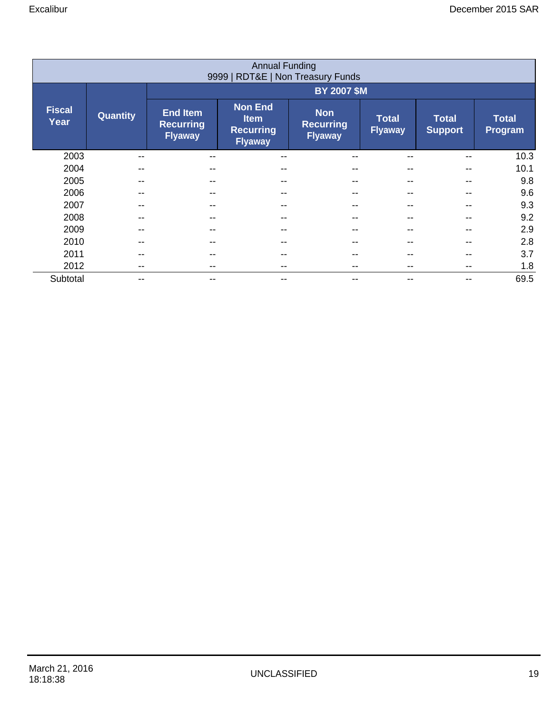|                                   | <b>Annual Funding</b> |                                                       |                                                                     |                                                  |                                |                                |                         |  |  |  |
|-----------------------------------|-----------------------|-------------------------------------------------------|---------------------------------------------------------------------|--------------------------------------------------|--------------------------------|--------------------------------|-------------------------|--|--|--|
| 9999   RDT&E   Non Treasury Funds |                       |                                                       |                                                                     |                                                  |                                |                                |                         |  |  |  |
|                                   |                       |                                                       |                                                                     |                                                  | <b>BY 2007 \$M</b>             |                                |                         |  |  |  |
| <b>Fiscal</b><br>Year             | <b>Quantity</b>       | <b>End Item</b><br><b>Recurring</b><br><b>Flyaway</b> | <b>Non End</b><br><b>Item</b><br><b>Recurring</b><br><b>Flyaway</b> | <b>Non</b><br><b>Recurring</b><br><b>Flyaway</b> | <b>Total</b><br><b>Flyaway</b> | <b>Total</b><br><b>Support</b> | <b>Total</b><br>Program |  |  |  |
| 2003                              |                       |                                                       | --                                                                  |                                                  |                                |                                | 10.3                    |  |  |  |
| 2004                              |                       |                                                       | --                                                                  |                                                  | --                             |                                | 10.1                    |  |  |  |
| 2005                              |                       |                                                       |                                                                     |                                                  |                                |                                | 9.8                     |  |  |  |
| 2006                              |                       |                                                       |                                                                     |                                                  |                                |                                | 9.6                     |  |  |  |
| 2007                              |                       |                                                       |                                                                     |                                                  |                                |                                | 9.3                     |  |  |  |
| 2008                              |                       |                                                       |                                                                     |                                                  | --                             |                                | 9.2                     |  |  |  |
| 2009                              | --                    |                                                       |                                                                     |                                                  | --                             |                                | 2.9                     |  |  |  |
| 2010                              | --                    |                                                       |                                                                     |                                                  | --                             |                                | 2.8                     |  |  |  |
| 2011                              | --                    |                                                       |                                                                     | --                                               | --                             |                                | 3.7                     |  |  |  |
| 2012                              | --                    |                                                       |                                                                     |                                                  |                                |                                | 1.8                     |  |  |  |
| Subtotal                          | --                    |                                                       | --                                                                  | --                                               | --                             |                                | 69.5                    |  |  |  |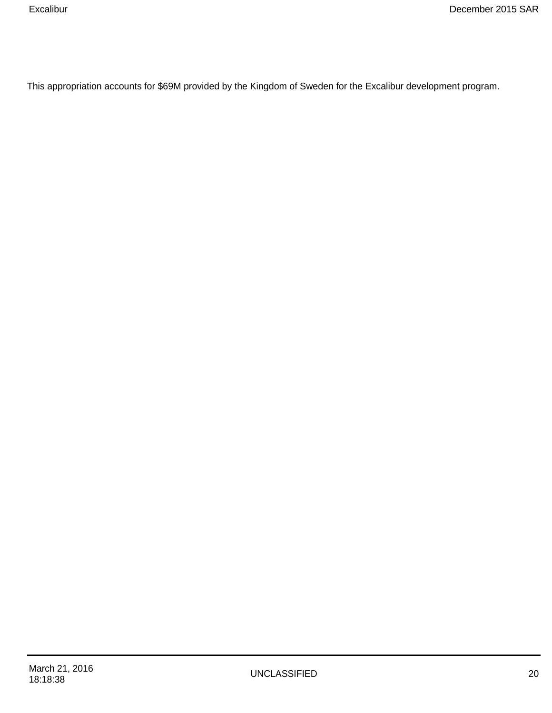This appropriation accounts for \$69M provided by the Kingdom of Sweden for the Excalibur development program.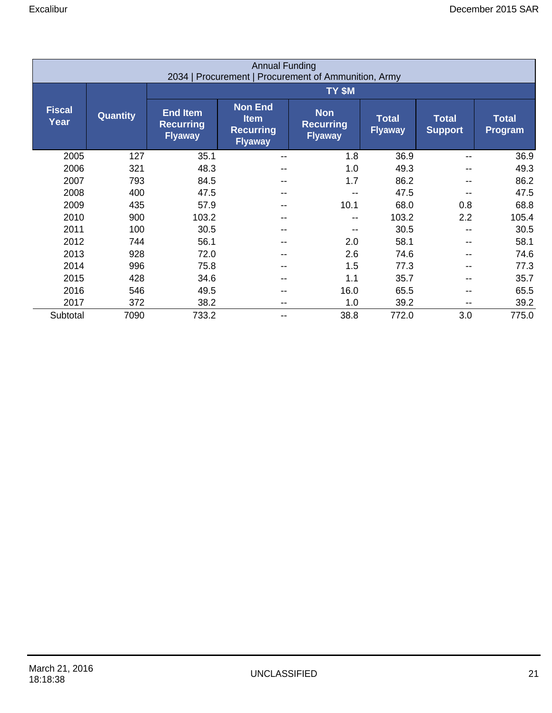| <b>Annual Funding</b><br>2034   Procurement   Procurement of Ammunition, Army |                 |                                                       |                                                                     |                                                  |                                |                                |                         |  |  |  |
|-------------------------------------------------------------------------------|-----------------|-------------------------------------------------------|---------------------------------------------------------------------|--------------------------------------------------|--------------------------------|--------------------------------|-------------------------|--|--|--|
|                                                                               |                 | TY \$M                                                |                                                                     |                                                  |                                |                                |                         |  |  |  |
| <b>Fiscal</b><br>Year                                                         | <b>Quantity</b> | <b>End Item</b><br><b>Recurring</b><br><b>Flyaway</b> | <b>Non End</b><br><b>Item</b><br><b>Recurring</b><br><b>Flyaway</b> | <b>Non</b><br><b>Recurring</b><br><b>Flyaway</b> | <b>Total</b><br><b>Flyaway</b> | <b>Total</b><br><b>Support</b> | <b>Total</b><br>Program |  |  |  |
| 2005                                                                          | 127             | 35.1                                                  | $-$                                                                 | 1.8                                              | 36.9                           |                                | 36.9                    |  |  |  |
| 2006                                                                          | 321             | 48.3                                                  | --                                                                  | 1.0                                              | 49.3                           | $\overline{\phantom{m}}$       | 49.3                    |  |  |  |
| 2007                                                                          | 793             | 84.5                                                  | --                                                                  | 1.7                                              | 86.2                           |                                | 86.2                    |  |  |  |
| 2008                                                                          | 400             | 47.5                                                  | --                                                                  |                                                  | 47.5                           |                                | 47.5                    |  |  |  |
| 2009                                                                          | 435             | 57.9                                                  | --                                                                  | 10.1                                             | 68.0                           | 0.8                            | 68.8                    |  |  |  |
| 2010                                                                          | 900             | 103.2                                                 | --                                                                  |                                                  | 103.2                          | 2.2                            | 105.4                   |  |  |  |
| 2011                                                                          | 100             | 30.5                                                  | --                                                                  |                                                  | 30.5                           | $\overline{\phantom{m}}$       | 30.5                    |  |  |  |
| 2012                                                                          | 744             | 56.1                                                  | --                                                                  | 2.0                                              | 58.1                           |                                | 58.1                    |  |  |  |
| 2013                                                                          | 928             | 72.0                                                  | --                                                                  | 2.6                                              | 74.6                           |                                | 74.6                    |  |  |  |
| 2014                                                                          | 996             | 75.8                                                  | --                                                                  | 1.5                                              | 77.3                           |                                | 77.3                    |  |  |  |
| 2015                                                                          | 428             | 34.6                                                  |                                                                     | 1.1                                              | 35.7                           |                                | 35.7                    |  |  |  |
| 2016                                                                          | 546             | 49.5                                                  | --                                                                  | 16.0                                             | 65.5                           | $\overline{\phantom{m}}$       | 65.5                    |  |  |  |
| 2017                                                                          | 372             | 38.2                                                  | --                                                                  | 1.0                                              | 39.2                           |                                | 39.2                    |  |  |  |
| Subtotal                                                                      | 7090            | 733.2                                                 | --                                                                  | 38.8                                             | 772.0                          | 3.0                            | 775.0                   |  |  |  |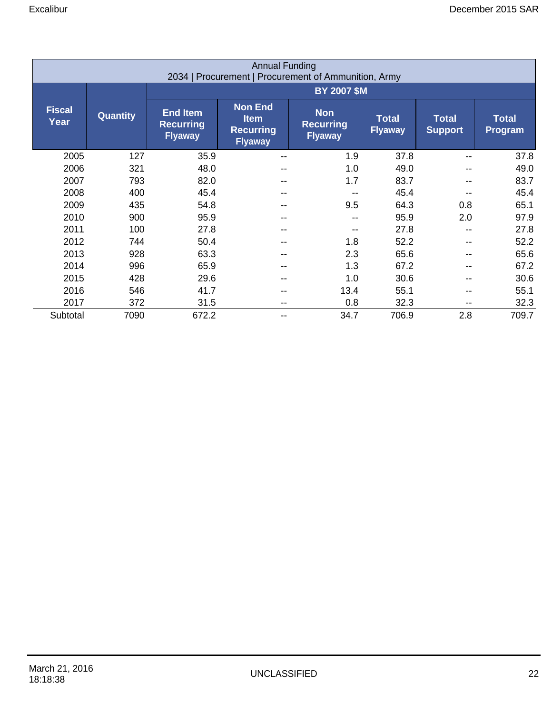|                       | <b>Annual Funding</b><br>2034   Procurement   Procurement of Ammunition, Army |                                                       |                                                                     |                                                  |                                |                                |                         |  |  |  |  |
|-----------------------|-------------------------------------------------------------------------------|-------------------------------------------------------|---------------------------------------------------------------------|--------------------------------------------------|--------------------------------|--------------------------------|-------------------------|--|--|--|--|
|                       |                                                                               | <b>BY 2007 \$M</b>                                    |                                                                     |                                                  |                                |                                |                         |  |  |  |  |
| <b>Fiscal</b><br>Year | <b>Quantity</b>                                                               | <b>End Item</b><br><b>Recurring</b><br><b>Flyaway</b> | <b>Non End</b><br><b>Item</b><br><b>Recurring</b><br><b>Flyaway</b> | <b>Non</b><br><b>Recurring</b><br><b>Flyaway</b> | <b>Total</b><br><b>Flyaway</b> | <b>Total</b><br><b>Support</b> | <b>Total</b><br>Program |  |  |  |  |
| 2005                  | 127                                                                           | 35.9                                                  | $- -$                                                               | 1.9                                              | 37.8                           | --                             | 37.8                    |  |  |  |  |
| 2006                  | 321                                                                           | 48.0                                                  | --                                                                  | 1.0                                              | 49.0                           | --                             | 49.0                    |  |  |  |  |
| 2007                  | 793                                                                           | 82.0                                                  | --                                                                  | 1.7                                              | 83.7                           |                                | 83.7                    |  |  |  |  |
| 2008                  | 400                                                                           | 45.4                                                  | --                                                                  |                                                  | 45.4                           |                                | 45.4                    |  |  |  |  |
| 2009                  | 435                                                                           | 54.8                                                  | --                                                                  | 9.5                                              | 64.3                           | 0.8                            | 65.1                    |  |  |  |  |
| 2010                  | 900                                                                           | 95.9                                                  | --                                                                  | --                                               | 95.9                           | 2.0                            | 97.9                    |  |  |  |  |
| 2011                  | 100                                                                           | 27.8                                                  | --                                                                  |                                                  | 27.8                           | $\overline{\phantom{m}}$       | 27.8                    |  |  |  |  |
| 2012                  | 744                                                                           | 50.4                                                  | --                                                                  | 1.8                                              | 52.2                           | --                             | 52.2                    |  |  |  |  |
| 2013                  | 928                                                                           | 63.3                                                  | --                                                                  | 2.3                                              | 65.6                           |                                | 65.6                    |  |  |  |  |
| 2014                  | 996                                                                           | 65.9                                                  | --                                                                  | 1.3                                              | 67.2                           |                                | 67.2                    |  |  |  |  |
| 2015                  | 428                                                                           | 29.6                                                  | --                                                                  | 1.0                                              | 30.6                           |                                | 30.6                    |  |  |  |  |
| 2016                  | 546                                                                           | 41.7                                                  | --                                                                  | 13.4                                             | 55.1                           | --                             | 55.1                    |  |  |  |  |
| 2017                  | 372                                                                           | 31.5                                                  | --                                                                  | 0.8                                              | 32.3                           | --                             | 32.3                    |  |  |  |  |
| Subtotal              | 7090                                                                          | 672.2                                                 | --                                                                  | 34.7                                             | 706.9                          | 2.8                            | 709.7                   |  |  |  |  |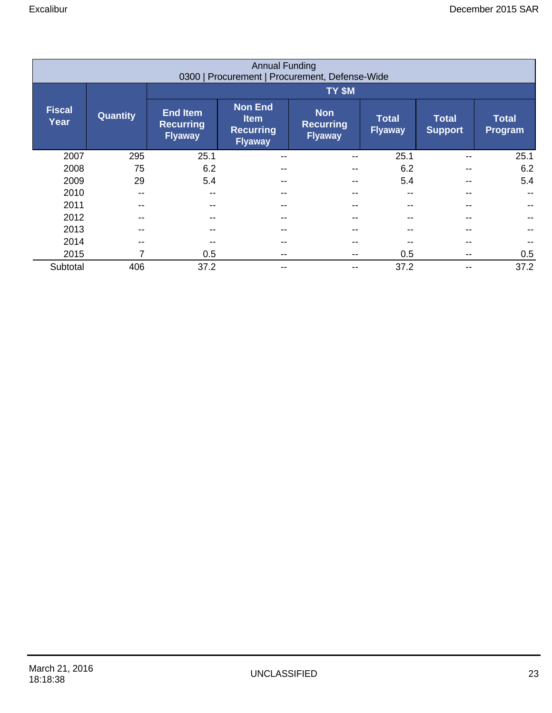|                       | <b>Annual Funding</b><br>0300   Procurement   Procurement, Defense-Wide |                                                       |                                                                     |                                                  |                                |                                |                         |  |  |  |  |
|-----------------------|-------------------------------------------------------------------------|-------------------------------------------------------|---------------------------------------------------------------------|--------------------------------------------------|--------------------------------|--------------------------------|-------------------------|--|--|--|--|
|                       |                                                                         | TY \$M                                                |                                                                     |                                                  |                                |                                |                         |  |  |  |  |
| <b>Fiscal</b><br>Year | <b>Quantity</b>                                                         | <b>End Item</b><br><b>Recurring</b><br><b>Flyaway</b> | <b>Non End</b><br><b>Item</b><br><b>Recurring</b><br><b>Flyaway</b> | <b>Non</b><br><b>Recurring</b><br><b>Flyaway</b> | <b>Total</b><br><b>Flyaway</b> | <b>Total</b><br><b>Support</b> | <b>Total</b><br>Program |  |  |  |  |
| 2007                  | 295                                                                     | 25.1                                                  | $\overline{\phantom{m}}$                                            |                                                  | 25.1                           | --                             | 25.1                    |  |  |  |  |
| 2008                  | 75                                                                      | 6.2                                                   | $\overline{\phantom{m}}$                                            |                                                  | 6.2                            | --                             | 6.2                     |  |  |  |  |
| 2009                  | 29                                                                      | 5.4                                                   | $- -$                                                               |                                                  | 5.4                            |                                | 5.4                     |  |  |  |  |
| 2010                  | $-$                                                                     | $- -$                                                 | $- -$                                                               |                                                  | --                             |                                |                         |  |  |  |  |
| 2011                  | --                                                                      |                                                       | $- -$                                                               |                                                  | --                             |                                |                         |  |  |  |  |
| 2012                  | --                                                                      |                                                       | $- -$                                                               |                                                  | --                             |                                |                         |  |  |  |  |
| 2013                  | --                                                                      |                                                       | $- -$                                                               |                                                  |                                |                                |                         |  |  |  |  |
| 2014                  | --                                                                      |                                                       | $- -$                                                               |                                                  |                                |                                |                         |  |  |  |  |
| 2015                  | 7                                                                       | 0.5                                                   | $- -$                                                               |                                                  | 0.5                            | --                             | 0.5                     |  |  |  |  |
| Subtotal              | 406                                                                     | 37.2                                                  | $- -$                                                               | --                                               | 37.2                           | --                             | 37.2                    |  |  |  |  |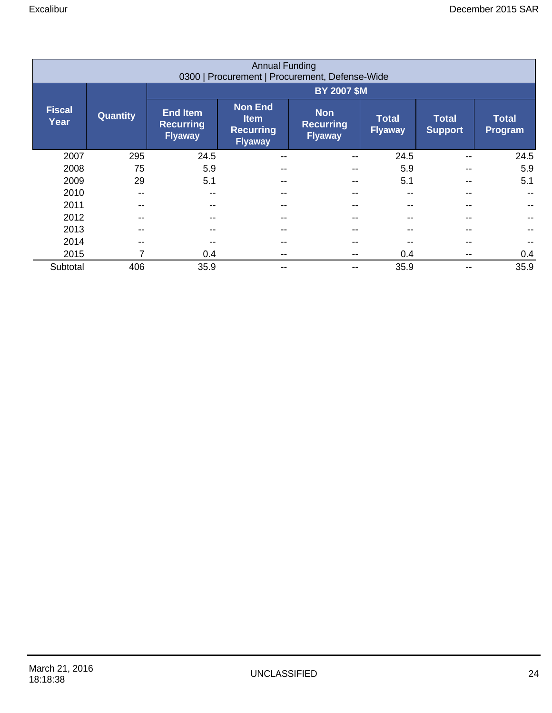|                       | <b>Annual Funding</b><br>0300   Procurement   Procurement, Defense-Wide |                                                       |                                                                     |                                                  |                                |                                |                         |  |  |  |  |
|-----------------------|-------------------------------------------------------------------------|-------------------------------------------------------|---------------------------------------------------------------------|--------------------------------------------------|--------------------------------|--------------------------------|-------------------------|--|--|--|--|
|                       |                                                                         | <b>BY 2007 \$M</b>                                    |                                                                     |                                                  |                                |                                |                         |  |  |  |  |
| <b>Fiscal</b><br>Year | <b>Quantity</b>                                                         | <b>End Item</b><br><b>Recurring</b><br><b>Flyaway</b> | <b>Non End</b><br><b>Item</b><br><b>Recurring</b><br><b>Flyaway</b> | <b>Non</b><br><b>Recurring</b><br><b>Flyaway</b> | <b>Total</b><br><b>Flyaway</b> | <b>Total</b><br><b>Support</b> | <b>Total</b><br>Program |  |  |  |  |
| 2007                  | 295                                                                     | 24.5                                                  | $\overline{\phantom{m}}$                                            |                                                  | 24.5                           | --                             | 24.5                    |  |  |  |  |
| 2008                  | 75                                                                      | 5.9                                                   | $- -$                                                               |                                                  | 5.9                            |                                | 5.9                     |  |  |  |  |
| 2009                  | 29                                                                      | 5.1                                                   | $- -$                                                               |                                                  | 5.1                            |                                | 5.1                     |  |  |  |  |
| 2010                  | $-$                                                                     |                                                       | $- -$                                                               |                                                  | --                             |                                |                         |  |  |  |  |
| 2011                  | --                                                                      |                                                       | $- -$                                                               |                                                  | --                             |                                |                         |  |  |  |  |
| 2012                  | --                                                                      |                                                       | $- -$                                                               |                                                  |                                |                                |                         |  |  |  |  |
| 2013                  | --                                                                      |                                                       | $- -$                                                               |                                                  |                                |                                |                         |  |  |  |  |
| 2014                  | --                                                                      |                                                       | $- -$                                                               |                                                  |                                |                                |                         |  |  |  |  |
| 2015                  | 7                                                                       | 0.4                                                   | $- -$                                                               |                                                  | 0.4                            |                                | 0.4                     |  |  |  |  |
| Subtotal              | 406                                                                     | 35.9                                                  | $- -$                                                               |                                                  | 35.9                           | --                             | 35.9                    |  |  |  |  |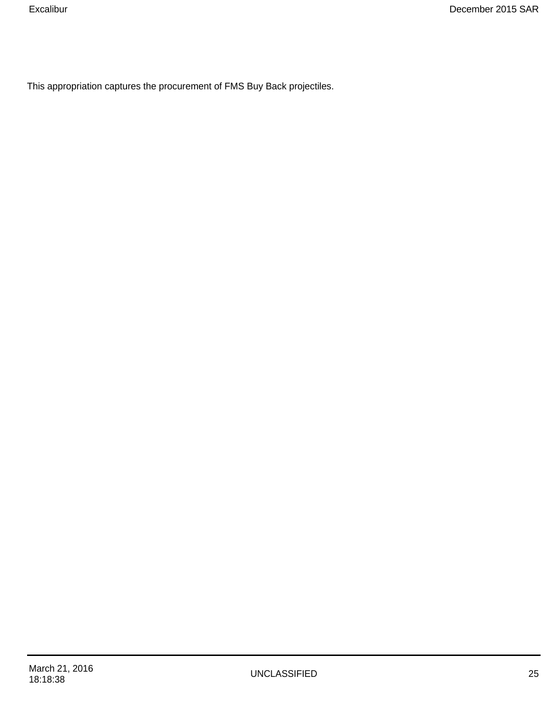This appropriation captures the procurement of FMS Buy Back projectiles.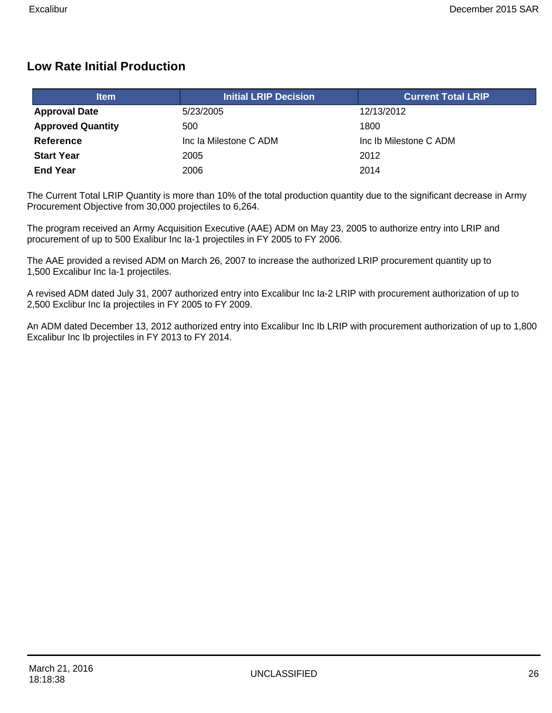### **Low Rate Initial Production**

| <b>Item</b>              | <b>Initial LRIP Decision</b> | <b>Current Total LRIP</b> |
|--------------------------|------------------------------|---------------------------|
| <b>Approval Date</b>     | 5/23/2005                    | 12/13/2012                |
| <b>Approved Quantity</b> | 500                          | 1800                      |
| Reference                | Inc la Milestone C ADM       | Inc Ib Milestone C ADM    |
| <b>Start Year</b>        | 2005                         | 2012                      |
| <b>End Year</b>          | 2006                         | 2014                      |

The Current Total LRIP Quantity is more than 10% of the total production quantity due to the significant decrease in Army Procurement Objective from 30,000 projectiles to 6,264.

The program received an Army Acquisition Executive (AAE) ADM on May 23, 2005 to authorize entry into LRIP and procurement of up to 500 Exalibur Inc Ia-1 projectiles in FY 2005 to FY 2006.

The AAE provided a revised ADM on March 26, 2007 to increase the authorized LRIP procurement quantity up to 1,500 Excalibur Inc Ia-1 projectiles.

A revised ADM dated July 31, 2007 authorized entry into Excalibur Inc Ia-2 LRIP with procurement authorization of up to 2,500 Exclibur Inc Ia projectiles in FY 2005 to FY 2009.

An ADM dated December 13, 2012 authorized entry into Excalibur Inc Ib LRIP with procurement authorization of up to 1,800 Excalibur Inc Ib projectiles in FY 2013 to FY 2014.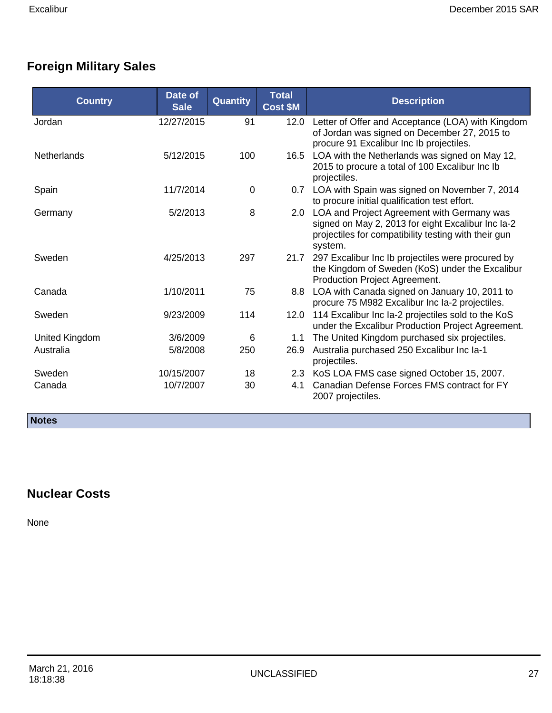# **Foreign Military Sales**

| <b>Country</b>     | <b>Date of</b><br><b>Sale</b> | Quantity    | <b>Total</b><br><b>Cost \$M</b> | <b>Description</b>                                                                                                                                                  |
|--------------------|-------------------------------|-------------|---------------------------------|---------------------------------------------------------------------------------------------------------------------------------------------------------------------|
| Jordan             | 12/27/2015                    | 91          | 12.0                            | Letter of Offer and Acceptance (LOA) with Kingdom<br>of Jordan was signed on December 27, 2015 to<br>procure 91 Excalibur Inc Ib projectiles.                       |
| <b>Netherlands</b> | 5/12/2015                     | 100         | 16.5                            | LOA with the Netherlands was signed on May 12,<br>2015 to procure a total of 100 Excalibur Inc Ib<br>projectiles.                                                   |
| Spain              | 11/7/2014                     | $\mathbf 0$ | 0.7                             | LOA with Spain was signed on November 7, 2014<br>to procure initial qualification test effort.                                                                      |
| Germany            | 5/2/2013                      | 8           | 2.0                             | LOA and Project Agreement with Germany was<br>signed on May 2, 2013 for eight Excalibur Inc Ia-2<br>projectiles for compatibility testing with their gun<br>system. |
| Sweden             | 4/25/2013                     | 297         | 21.7                            | 297 Excalibur Inc Ib projectiles were procured by<br>the Kingdom of Sweden (KoS) under the Excalibur<br>Production Project Agreement.                               |
| Canada             | 1/10/2011                     | 75          | 8.8                             | LOA with Canada signed on January 10, 2011 to<br>procure 75 M982 Excalibur Inc Ia-2 projectiles.                                                                    |
| Sweden             | 9/23/2009                     | 114         | 12.0                            | 114 Excalibur Inc Ia-2 projectiles sold to the KoS<br>under the Excalibur Production Project Agreement.                                                             |
| United Kingdom     | 3/6/2009                      | 6           | 1.1                             | The United Kingdom purchased six projectiles.                                                                                                                       |
| Australia          | 5/8/2008                      | 250         | 26.9                            | Australia purchased 250 Excalibur Inc Ia-1<br>projectiles.                                                                                                          |
| Sweden             | 10/15/2007                    | 18          |                                 | 2.3 KoS LOA FMS case signed October 15, 2007.                                                                                                                       |
| Canada             | 10/7/2007                     | 30          | 4.1                             | Canadian Defense Forces FMS contract for FY<br>2007 projectiles.                                                                                                    |

**Notes** 

# **Nuclear Costs**

None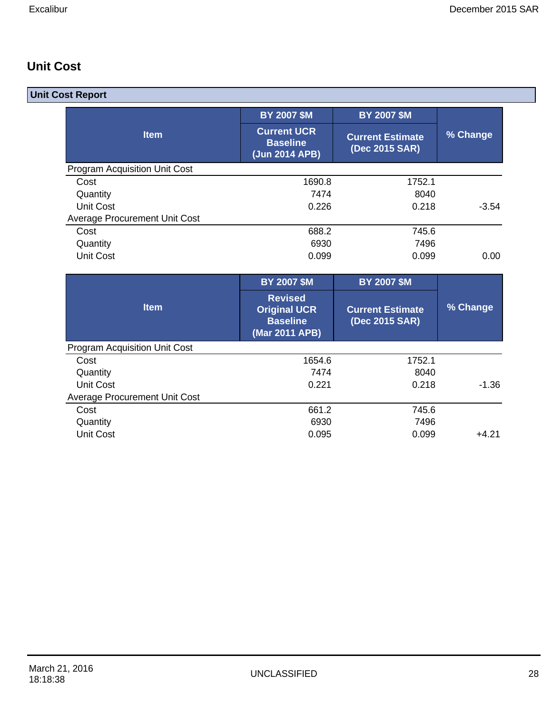### **Unit Cost**

| <b>Unit Cost Report</b>              |                                                          |                                           |                    |
|--------------------------------------|----------------------------------------------------------|-------------------------------------------|--------------------|
|                                      | <b>BY 2007 \$M</b>                                       | <b>BY 2007 \$M</b>                        |                    |
| <b>Item</b>                          | <b>Current UCR</b><br><b>Baseline</b><br>(Jun 2014 APB)  | <b>Current Estimate</b><br>(Dec 2015 SAR) | % Change           |
| <b>Program Acquisition Unit Cost</b> |                                                          |                                           |                    |
| Cost                                 | 1690.8                                                   | 1752.1                                    |                    |
| Quantity                             | 7474                                                     | 8040                                      |                    |
| <b>Unit Cost</b>                     | 0.226                                                    | 0.218                                     | $-3.54$            |
| <b>Average Procurement Unit Cost</b> |                                                          |                                           |                    |
| Cost                                 | 688.2                                                    | 745.6                                     |                    |
| Quantity                             | 6930                                                     | 7496                                      |                    |
| <b>Unit Cost</b>                     | 0.099                                                    | 0.099                                     | 0.00               |
|                                      | <b>BY 2007 \$M</b>                                       | <b>BY 2007 \$M</b>                        |                    |
|                                      | <b>Revised</b>                                           |                                           |                    |
| <b>Item</b>                          | <b>Original UCR</b><br><b>Baseline</b><br>(Mar 2011 APB) | <b>Current Estimate</b><br>(Dec 2015 SAR) | % Change           |
| <b>Program Acquisition Unit Cost</b> |                                                          |                                           |                    |
| Cost                                 | 1654.6                                                   | 1752.1                                    |                    |
| Quantity                             | 7474                                                     | 8040                                      |                    |
| <b>Unit Cost</b>                     | 0.221                                                    | 0.218                                     |                    |
| <b>Average Procurement Unit Cost</b> |                                                          |                                           |                    |
| Cost                                 | 661.2                                                    | 745.6                                     |                    |
| Quantity<br><b>Unit Cost</b>         | 6930<br>0.095                                            | 7496<br>0.099                             | $-1.36$<br>$+4.21$ |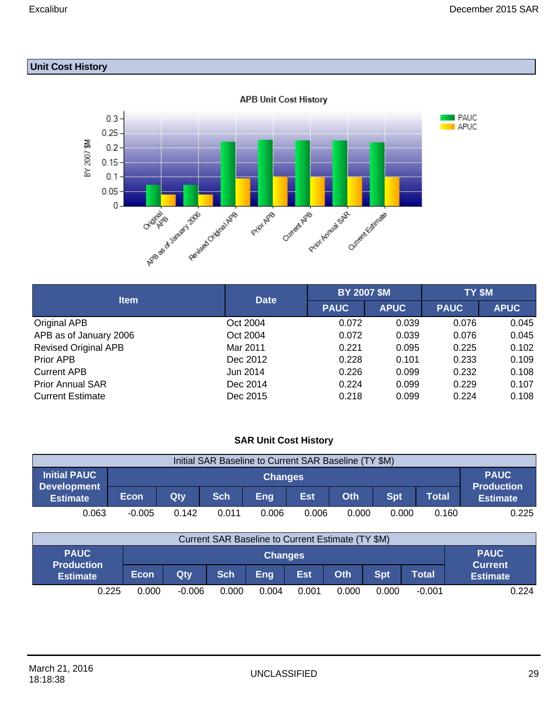### **Unit Cost History**



| <b>Item</b>                 | <b>Date</b> | <b>BY 2007 \$M</b> |             | TY \$M      |             |
|-----------------------------|-------------|--------------------|-------------|-------------|-------------|
|                             |             | <b>PAUC</b>        | <b>APUC</b> | <b>PAUC</b> | <b>APUC</b> |
| Original APB                | Oct 2004    | 0.072              | 0.039       | 0.076       | 0.045       |
| APB as of January 2006      | Oct 2004    | 0.072              | 0.039       | 0.076       | 0.045       |
| <b>Revised Original APB</b> | Mar 2011    | 0.221              | 0.095       | 0.225       | 0.102       |
| Prior APB                   | Dec 2012    | 0.228              | 0.101       | 0.233       | 0.109       |
| <b>Current APB</b>          | Jun 2014    | 0.226              | 0.099       | 0.232       | 0.108       |
| <b>Prior Annual SAR</b>     | Dec 2014    | 0.224              | 0.099       | 0.229       | 0.107       |
| <b>Current Estimate</b>     | Dec 2015    | 0.218              | 0.099       | 0.224       | 0.108       |

#### **SAR Unit Cost History**

| Initial SAR Baseline to Current SAR Baseline (TY \$M) |             |                                                                                                |       |                |       |       |       |       |                                  |
|-------------------------------------------------------|-------------|------------------------------------------------------------------------------------------------|-------|----------------|-------|-------|-------|-------|----------------------------------|
| <b>Initial PAUC</b>                                   |             |                                                                                                |       | <b>Changes</b> |       |       |       |       | <b>PAUC</b><br><b>Production</b> |
| <b>Development</b><br><b>Estimate</b>                 | <b>Econ</b> | <b>Eng</b><br><b>Sch</b><br>Est<br><b>Spt</b><br>Oth<br><b>Total</b><br>Qty<br><b>Estimate</b> |       |                |       |       |       |       |                                  |
| 0.063                                                 | $-0.005$    | 0.142                                                                                          | 0.011 | 0.006          | 0.006 | 0.000 | 0.000 | 0.160 | 0.225                            |

| Current SAR Baseline to Current Estimate (TY \$M) |                |          |            |       |            |       |            |              |                               |
|---------------------------------------------------|----------------|----------|------------|-------|------------|-------|------------|--------------|-------------------------------|
| <b>PAUC</b><br><b>Production</b>                  | <b>Changes</b> |          |            |       |            |       |            |              | <b>PAUC</b><br><b>Current</b> |
| <b>Estimate</b>                                   | <b>Econ</b>    | Qty      | <b>Sch</b> | Eng   | <b>Est</b> | Oth   | <b>Spt</b> | <b>Total</b> | <b>Estimate</b>               |
| 0.225                                             | 0.000          | $-0.006$ | 0.000      | 0.004 | 0.001      | 0.000 | 0.000      | $-0.001$     | 0.224                         |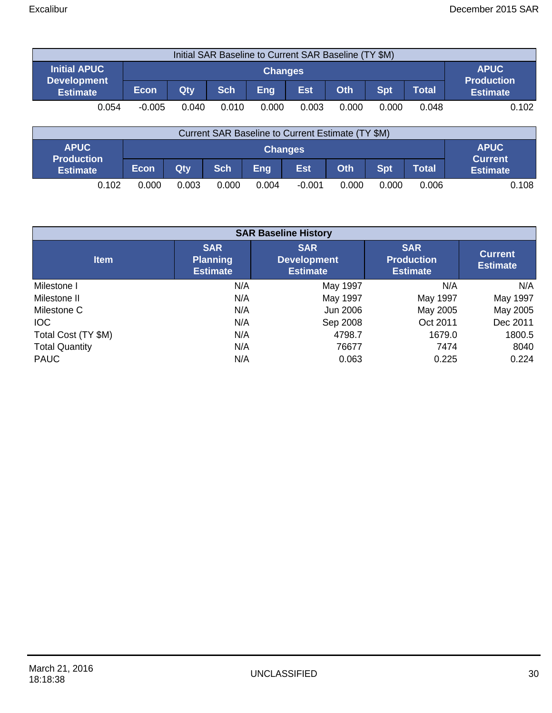| Initial SAR Baseline to Current SAR Baseline (TY \$M) |             |       |            |                |            |       |            |              |                                  |
|-------------------------------------------------------|-------------|-------|------------|----------------|------------|-------|------------|--------------|----------------------------------|
| <b>Initial APUC</b>                                   |             |       |            | <b>Changes</b> |            |       |            |              | <b>APUC</b><br><b>Production</b> |
| <b>Development</b><br><b>Estimate</b>                 | <b>Econ</b> | Qty   | <b>Sch</b> | <b>Eng</b>     | <b>Est</b> | Oth   | <b>Spt</b> | <b>Total</b> | <b>Estimate</b>                  |
| 0.054                                                 | $-0.005$    | 0.040 | 0.010      | 0.000          | 0.003      | 0.000 | 0.000      | 0.048        | 0.102                            |

| Current SAR Baseline to Current Estimate (TY \$M) |             |                                                                             |       |       |                |       |       |       |                               |
|---------------------------------------------------|-------------|-----------------------------------------------------------------------------|-------|-------|----------------|-------|-------|-------|-------------------------------|
| <b>APUC</b>                                       |             |                                                                             |       |       | <b>Changes</b> |       |       |       | <b>APUC</b><br><b>Current</b> |
| <b>Production</b><br><b>Estimate</b>              | <b>Econ</b> | <b>Est</b><br>Oth<br><b>Spt</b><br><b>Sch</b><br>Eng<br><b>Total</b><br>Qty |       |       |                |       |       |       |                               |
| 0.102                                             | 0.000       | 0.003                                                                       | 0.000 | 0.004 | $-0.001$       | 0.000 | 0.000 | 0.006 | 0.108                         |

| <b>SAR Baseline History</b> |                                                  |                                                     |                                                    |                                   |  |  |  |  |
|-----------------------------|--------------------------------------------------|-----------------------------------------------------|----------------------------------------------------|-----------------------------------|--|--|--|--|
| <b>Item</b>                 | <b>SAR</b><br><b>Planning</b><br><b>Estimate</b> | <b>SAR</b><br><b>Development</b><br><b>Estimate</b> | <b>SAR</b><br><b>Production</b><br><b>Estimate</b> | <b>Current</b><br><b>Estimate</b> |  |  |  |  |
| Milestone I                 | N/A                                              | May 1997                                            | N/A                                                | N/A                               |  |  |  |  |
| Milestone II                | N/A                                              | May 1997                                            | May 1997                                           | May 1997                          |  |  |  |  |
| Milestone C                 | N/A                                              | Jun 2006                                            | May 2005                                           | May 2005                          |  |  |  |  |
| <b>IOC</b>                  | N/A                                              | Sep 2008                                            | Oct 2011                                           | Dec 2011                          |  |  |  |  |
| Total Cost (TY \$M)         | N/A                                              | 4798.7                                              | 1679.0                                             | 1800.5                            |  |  |  |  |
| <b>Total Quantity</b>       | N/A                                              | 76677                                               | 7474                                               | 8040                              |  |  |  |  |
| <b>PAUC</b>                 | N/A                                              | 0.063                                               | 0.225                                              | 0.224                             |  |  |  |  |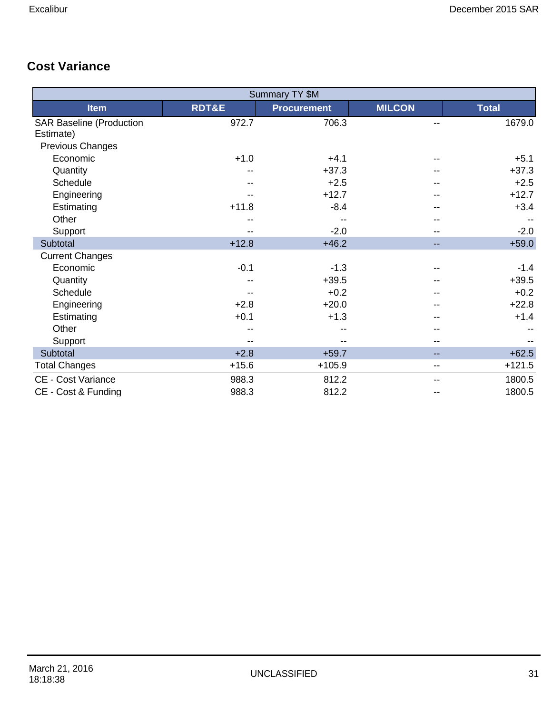# **Cost Variance**

|                                 |                  | Summary TY \$M     |               |              |
|---------------------------------|------------------|--------------------|---------------|--------------|
| <b>Item</b>                     | <b>RDT&amp;E</b> | <b>Procurement</b> | <b>MILCON</b> | <b>Total</b> |
| <b>SAR Baseline (Production</b> | 972.7            | 706.3              |               | 1679.0       |
| Estimate)                       |                  |                    |               |              |
| Previous Changes                |                  |                    |               |              |
| Economic                        | $+1.0$           | $+4.1$             |               | $+5.1$       |
| Quantity                        | --               | $+37.3$            |               | $+37.3$      |
| Schedule                        |                  | $+2.5$             |               | $+2.5$       |
| Engineering                     |                  | $+12.7$            |               | $+12.7$      |
| Estimating                      | $+11.8$          | $-8.4$             |               | $+3.4$       |
| Other                           |                  |                    |               |              |
| Support                         | --               | $-2.0$             |               | $-2.0$       |
| Subtotal                        | $+12.8$          | $+46.2$            | --            | $+59.0$      |
| <b>Current Changes</b>          |                  |                    |               |              |
| Economic                        | $-0.1$           | $-1.3$             |               | $-1.4$       |
| Quantity                        |                  | $+39.5$            |               | $+39.5$      |
| Schedule                        |                  | $+0.2$             |               | $+0.2$       |
| Engineering                     | $+2.8$           | $+20.0$            |               | $+22.8$      |
| Estimating                      | $+0.1$           | $+1.3$             |               | $+1.4$       |
| Other                           |                  |                    |               |              |
| Support                         |                  |                    |               |              |
| Subtotal                        | $+2.8$           | $+59.7$            | --            | $+62.5$      |
| <b>Total Changes</b>            | $+15.6$          | $+105.9$           | --            | $+121.5$     |
| <b>CE - Cost Variance</b>       | 988.3            | 812.2              | --            | 1800.5       |
| CE - Cost & Funding             | 988.3            | 812.2              |               | 1800.5       |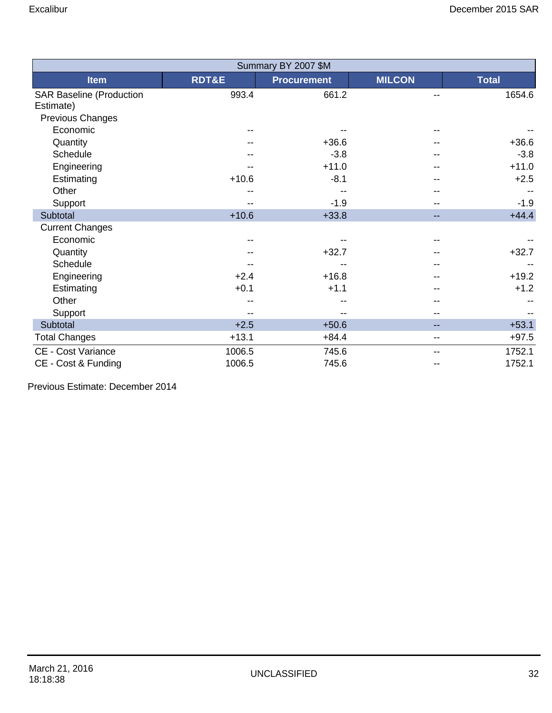|                                              |                  | Summary BY 2007 \$M |                          |              |
|----------------------------------------------|------------------|---------------------|--------------------------|--------------|
| <b>Item</b>                                  | <b>RDT&amp;E</b> | <b>Procurement</b>  | <b>MILCON</b>            | <b>Total</b> |
| <b>SAR Baseline (Production</b><br>Estimate) | 993.4            | 661.2               |                          | 1654.6       |
| Previous Changes                             |                  |                     |                          |              |
| Economic                                     |                  |                     |                          |              |
| Quantity                                     |                  | $+36.6$             |                          | $+36.6$      |
| Schedule                                     |                  | $-3.8$              |                          | $-3.8$       |
| Engineering                                  |                  | $+11.0$             |                          | $+11.0$      |
| Estimating                                   | $+10.6$          | $-8.1$              |                          | $+2.5$       |
| Other                                        |                  |                     |                          |              |
| Support                                      |                  | $-1.9$              |                          | $-1.9$       |
| Subtotal                                     | $+10.6$          | $+33.8$             | --                       | $+44.4$      |
| <b>Current Changes</b>                       |                  |                     |                          |              |
| Economic                                     |                  |                     |                          |              |
| Quantity                                     |                  | $+32.7$             |                          | $+32.7$      |
| Schedule                                     |                  |                     |                          |              |
| Engineering                                  | $+2.4$           | $+16.8$             |                          | $+19.2$      |
| Estimating                                   | $+0.1$           | $+1.1$              |                          | $+1.2$       |
| Other                                        |                  |                     |                          |              |
| Support                                      |                  |                     |                          |              |
| Subtotal                                     | $+2.5$           | $+50.6$             | $\overline{\phantom{m}}$ | $+53.1$      |
| <b>Total Changes</b>                         | $+13.1$          | $+84.4$             | $\overline{\phantom{a}}$ | $+97.5$      |
| <b>CE - Cost Variance</b>                    | 1006.5           | 745.6               |                          | 1752.1       |
| CE - Cost & Funding                          | 1006.5           | 745.6               |                          | 1752.1       |

Previous Estimate: December 2014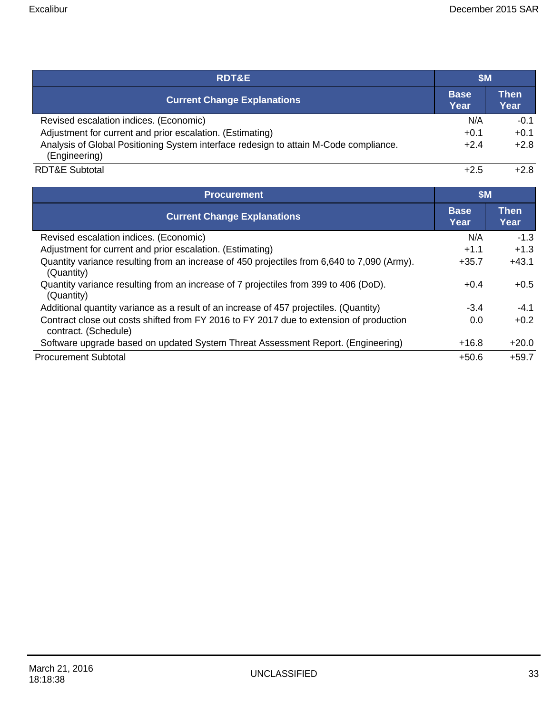| <b>RDT&amp;E</b>                                                                                       | <b>\$M</b>          |                     |  |
|--------------------------------------------------------------------------------------------------------|---------------------|---------------------|--|
| <b>Current Change Explanations</b>                                                                     | <b>Base</b><br>Year | <b>Then</b><br>Year |  |
| Revised escalation indices. (Economic)                                                                 | N/A                 | $-0.1$              |  |
| Adjustment for current and prior escalation. (Estimating)                                              | $+0.1$              | $+0.1$              |  |
| Analysis of Global Positioning System interface redesign to attain M-Code compliance.<br>(Engineering) | $+2.4$              | $+2.8$              |  |
| <b>RDT&amp;E Subtotal</b>                                                                              | $+2.5$              | $+2.8$              |  |

| <b>Procurement</b>                                                                                              | \$M\$               |                     |  |
|-----------------------------------------------------------------------------------------------------------------|---------------------|---------------------|--|
| <b>Current Change Explanations</b>                                                                              | <b>Base</b><br>Year | <b>Then</b><br>Year |  |
| Revised escalation indices. (Economic)                                                                          | N/A                 | $-1.3$              |  |
| Adjustment for current and prior escalation. (Estimating)                                                       | $+1.1$              | $+1.3$              |  |
| Quantity variance resulting from an increase of 450 projectiles from 6,640 to 7,090 (Army).<br>(Quantity)       | $+35.7$             | $+43.1$             |  |
| Quantity variance resulting from an increase of 7 projectiles from 399 to 406 (DoD).<br>(Quantity)              | $+0.4$              | $+0.5$              |  |
| Additional quantity variance as a result of an increase of 457 projectiles. (Quantity)                          | $-3.4$              | $-4.1$              |  |
| Contract close out costs shifted from FY 2016 to FY 2017 due to extension of production<br>contract. (Schedule) | 0.0                 | $+0.2$              |  |
| Software upgrade based on updated System Threat Assessment Report. (Engineering)                                | $+16.8$             | $+20.0$             |  |
| <b>Procurement Subtotal</b>                                                                                     | $+50.6$             | $+59.7$             |  |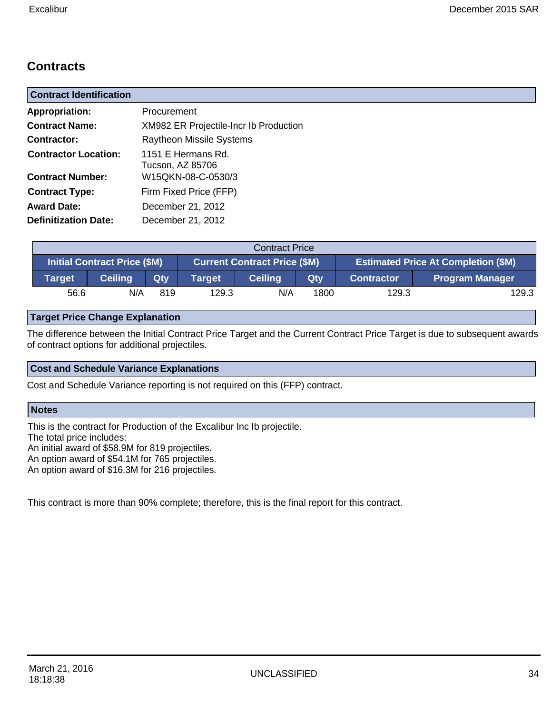# **Contracts**

| <b>Contract Identification</b>                         |                                                              |  |  |  |  |
|--------------------------------------------------------|--------------------------------------------------------------|--|--|--|--|
| <b>Appropriation:</b>                                  | Procurement                                                  |  |  |  |  |
| <b>Contract Name:</b>                                  | XM982 ER Projectile-Incr Ib Production                       |  |  |  |  |
| Contractor:                                            | <b>Raytheon Missile Systems</b>                              |  |  |  |  |
| <b>Contractor Location:</b><br><b>Contract Number:</b> | 1151 E Hermans Rd.<br>Tucson, AZ 85706<br>W15QKN-08-C-0530/3 |  |  |  |  |
| <b>Contract Type:</b>                                  | Firm Fixed Price (FFP)                                       |  |  |  |  |
| <b>Award Date:</b>                                     | December 21, 2012                                            |  |  |  |  |
| <b>Definitization Date:</b>                            | December 21, 2012                                            |  |  |  |  |

|        | <b>Contract Price</b>                                                      |     |        |                       |                                            |       |                        |  |  |
|--------|----------------------------------------------------------------------------|-----|--------|-----------------------|--------------------------------------------|-------|------------------------|--|--|
|        | <b>Initial Contract Price (\$M)</b><br><b>Current Contract Price (\$M)</b> |     |        |                       | <b>Estimated Price At Completion (\$M)</b> |       |                        |  |  |
| Target | <b>Ceiling</b>                                                             | Qtv | Target | <b>Ceiling</b><br>Qty |                                            |       | <b>Program Manager</b> |  |  |
| 56.6   | N/A                                                                        | 819 | 129.3  | N/A                   | 1800                                       | 129.3 | 129.3                  |  |  |

#### **Target Price Change Explanation**

The difference between the Initial Contract Price Target and the Current Contract Price Target is due to subsequent awards of contract options for additional projectiles.

#### **Cost and Schedule Variance Explanations**

Cost and Schedule Variance reporting is not required on this (FFP) contract.

#### **Notes**

This is the contract for Production of the Excalibur Inc Ib projectile. The total price includes: An initial award of \$58.9M for 819 projectiles. An option award of \$54.1M for 765 projectiles. An option award of \$16.3M for 216 projectiles.

This contract is more than 90% complete; therefore, this is the final report for this contract.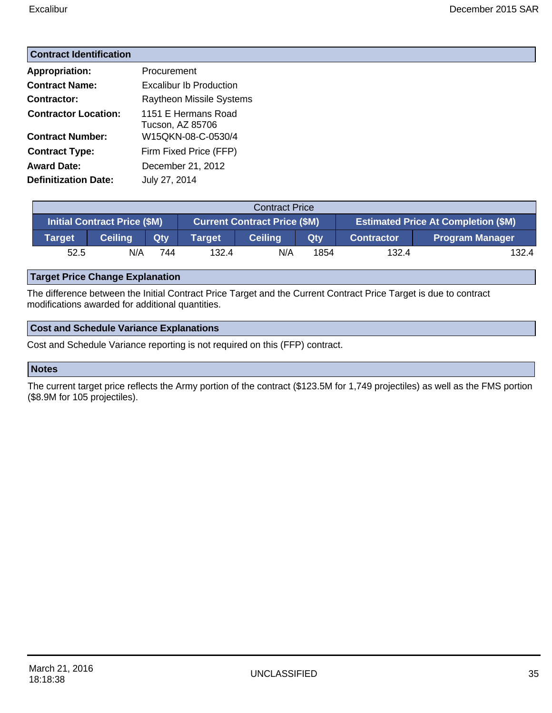#### **Contract Identification**

| <b>Appropriation:</b>       | Procurement                             |
|-----------------------------|-----------------------------------------|
| <b>Contract Name:</b>       | <b>Excalibur Ib Production</b>          |
| <b>Contractor:</b>          | <b>Raytheon Missile Systems</b>         |
| <b>Contractor Location:</b> | 1151 E Hermans Road<br>Tucson, AZ 85706 |
| <b>Contract Number:</b>     | W15QKN-08-C-0530/4                      |
| <b>Contract Type:</b>       | Firm Fixed Price (FFP)                  |
| <b>Award Date:</b>          | December 21, 2012                       |
| <b>Definitization Date:</b> | July 27, 2014                           |

| <b>Contract Price</b>               |                |     |                                                                                   |                |            |                   |                        |
|-------------------------------------|----------------|-----|-----------------------------------------------------------------------------------|----------------|------------|-------------------|------------------------|
| <b>Initial Contract Price (\$M)</b> |                |     | <b>Estimated Price At Completion (\$M)</b><br><b>Current Contract Price (\$M)</b> |                |            |                   |                        |
| <b>Target</b>                       | <b>Ceiling</b> | Qty | <b>Target</b>                                                                     | <b>Ceiling</b> | <b>Qty</b> | <b>Contractor</b> | <b>Program Manager</b> |
| 52.5                                | N/A            | 744 | 132.4                                                                             | N/A            | 1854       | 132.4             | 132.4                  |

#### **Target Price Change Explanation**

The difference between the Initial Contract Price Target and the Current Contract Price Target is due to contract modifications awarded for additional quantities.

#### **Cost and Schedule Variance Explanations**

Cost and Schedule Variance reporting is not required on this (FFP) contract.

#### **Notes**

The current target price reflects the Army portion of the contract (\$123.5M for 1,749 projectiles) as well as the FMS portion (\$8.9M for 105 projectiles).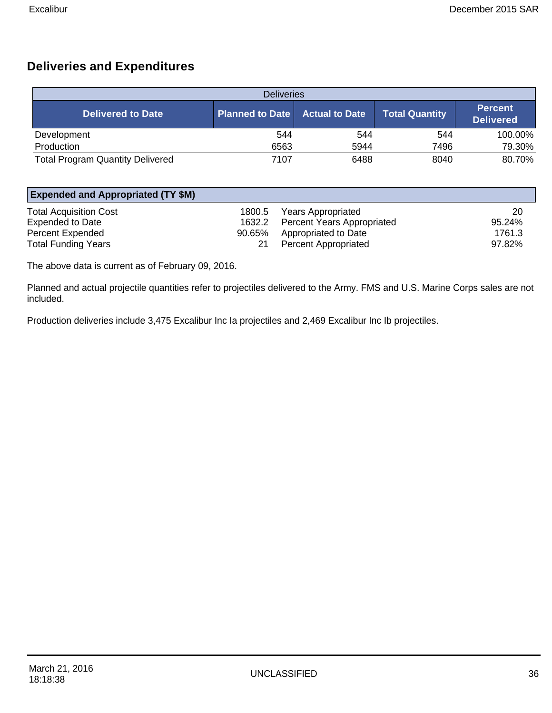### **Deliveries and Expenditures**

| <b>Deliveries</b>                       |                        |                       |                       |                                    |  |
|-----------------------------------------|------------------------|-----------------------|-----------------------|------------------------------------|--|
| <b>Delivered to Date</b>                | <b>Planned to Date</b> | <b>Actual to Date</b> | <b>Total Quantity</b> | <b>Percent</b><br><b>Delivered</b> |  |
| Development                             | 544                    | 544                   | 544                   | 100.00%                            |  |
| Production                              | 6563                   | 5944                  | 7496                  | 79.30%                             |  |
| <b>Total Program Quantity Delivered</b> | 7107                   | 6488                  | 8040                  | 80.70%                             |  |

| <b>Expended and Appropriated (TY \$M)</b> |                                   |        |  |  |
|-------------------------------------------|-----------------------------------|--------|--|--|
| <b>Total Acquisition Cost</b><br>1800.5   | <b>Years Appropriated</b>         | 20     |  |  |
| <b>Expended to Date</b><br>1632.2         | <b>Percent Years Appropriated</b> | 95.24% |  |  |
| <b>Percent Expended</b><br>90.65%         | Appropriated to Date              | 1761.3 |  |  |
| <b>Total Funding Years</b>                | <b>Percent Appropriated</b>       | 97.82% |  |  |

The above data is current as of February 09, 2016.

Planned and actual projectile quantities refer to projectiles delivered to the Army. FMS and U.S. Marine Corps sales are not included.

Production deliveries include 3,475 Excalibur Inc Ia projectiles and 2,469 Excalibur Inc Ib projectiles.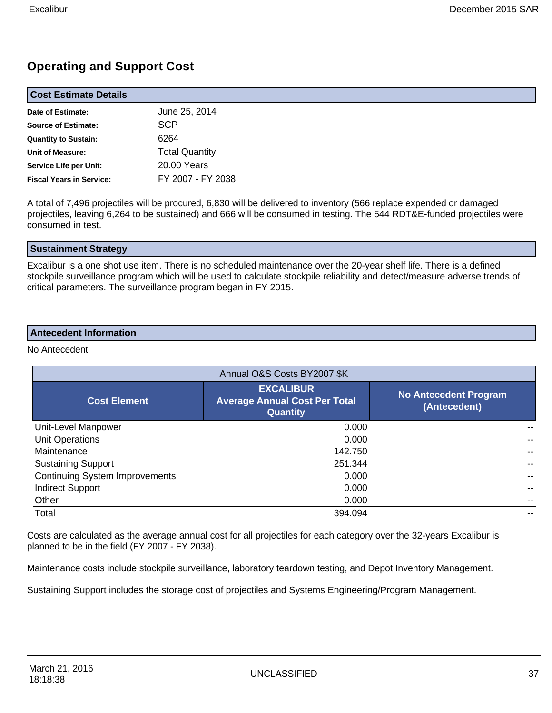### **Operating and Support Cost**

| <b>Cost Estimate Details</b>    |                       |  |  |
|---------------------------------|-----------------------|--|--|
| Date of Estimate:               | June 25, 2014         |  |  |
| <b>Source of Estimate:</b>      | <b>SCP</b>            |  |  |
| <b>Quantity to Sustain:</b>     | 6264                  |  |  |
| <b>Unit of Measure:</b>         | <b>Total Quantity</b> |  |  |
| Service Life per Unit:          | 20.00 Years           |  |  |
| <b>Fiscal Years in Service:</b> | FY 2007 - FY 2038     |  |  |

A total of 7,496 projectiles will be procured, 6,830 will be delivered to inventory (566 replace expended or damaged projectiles, leaving 6,264 to be sustained) and 666 will be consumed in testing. The 544 RDT&E-funded projectiles were consumed in test.

#### **Sustainment Strategy**

Excalibur is a one shot use item. There is no scheduled maintenance over the 20-year shelf life. There is a defined stockpile surveillance program which will be used to calculate stockpile reliability and detect/measure adverse trends of critical parameters. The surveillance program began in FY 2015.

#### **Antecedent Information**

No Antecedent

| Annual O&S Costs BY2007 \$K           |                                                                             |                                              |  |  |
|---------------------------------------|-----------------------------------------------------------------------------|----------------------------------------------|--|--|
| <b>Cost Element</b>                   | <b>EXCALIBUR</b><br><b>Average Annual Cost Per Total</b><br><b>Quantity</b> | <b>No Antecedent Program</b><br>(Antecedent) |  |  |
| Unit-Level Manpower                   | 0.000                                                                       |                                              |  |  |
| Unit Operations                       | 0.000                                                                       |                                              |  |  |
| Maintenance                           | 142.750                                                                     |                                              |  |  |
| <b>Sustaining Support</b>             | 251.344                                                                     |                                              |  |  |
| <b>Continuing System Improvements</b> | 0.000                                                                       |                                              |  |  |
| <b>Indirect Support</b>               | 0.000                                                                       |                                              |  |  |
| Other                                 | 0.000                                                                       |                                              |  |  |
| Total                                 | 394.094                                                                     |                                              |  |  |

Costs are calculated as the average annual cost for all projectiles for each category over the 32-years Excalibur is planned to be in the field (FY 2007 - FY 2038).

Maintenance costs include stockpile surveillance, laboratory teardown testing, and Depot Inventory Management.

Sustaining Support includes the storage cost of projectiles and Systems Engineering/Program Management.